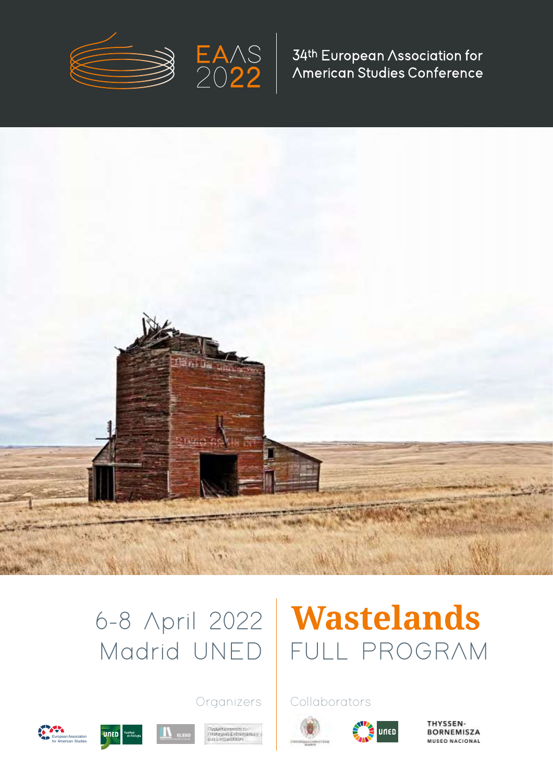



34th European Association for American Studies Conference



# 6-8 April 2022

# **Wastelands** Madrid UNED | FULL PROGRAM

# Organizers | Collaborators



**THYSSEN-BORNEMISZA MUSEO NACIONAL** 





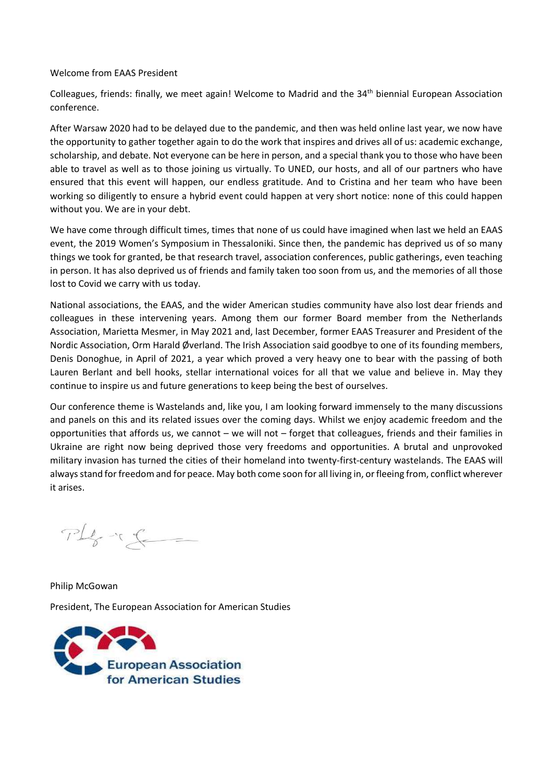#### Welcome from EAAS President

Colleagues, friends: finally, we meet again! Welcome to Madrid and the 34<sup>th</sup> biennial European Association conference.

After Warsaw 2020 had to be delayed due to the pandemic, and then was held online last year, we now have the opportunity to gather together again to do the work that inspires and drives all of us: academic exchange, scholarship, and debate. Not everyone can be here in person, and a special thank you to those who have been able to travel as well as to those joining us virtually. To UNED, our hosts, and all of our partners who have ensured that this event will happen, our endless gratitude. And to Cristina and her team who have been working so diligently to ensure a hybrid event could happen at very short notice: none of this could happen without you. We are in your debt.

We have come through difficult times, times that none of us could have imagined when last we held an EAAS event, the 2019 Women's Symposium in Thessaloniki. Since then, the pandemic has deprived us of so many things we took for granted, be that research travel, association conferences, public gatherings, even teaching in person. It has also deprived us of friends and family taken too soon from us, and the memories of all those lost to Covid we carry with us today.

National associations, the EAAS, and the wider American studies community have also lost dear friends and colleagues in these intervening years. Among them our former Board member from the Netherlands Association, Marietta Mesmer, in May 2021 and, last December, former EAAS Treasurer and President of the Nordic Association, Orm Harald Øverland. The Irish Association said goodbye to one of its founding members, Denis Donoghue, in April of 2021, a year which proved a very heavy one to bear with the passing of both Lauren Berlant and bell hooks, stellar international voices for all that we value and believe in. May they continue to inspire us and future generations to keep being the best of ourselves.

Our conference theme is Wastelands and, like you, I am looking forward immensely to the many discussions and panels on this and its related issues over the coming days. Whilst we enjoy academic freedom and the opportunities that affords us, we cannot – we will not – forget that colleagues, friends and their families in Ukraine are right now being deprived those very freedoms and opportunities. A brutal and unprovoked military invasion has turned the cities of their homeland into twenty-first-century wastelands. The EAAS will always stand for freedom and for peace. May both come soon for all living in, or fleeing from, conflict wherever it arises.

 $PL_{g} \sim 2$ 

Philip McGowan President, The European Association for American Studies

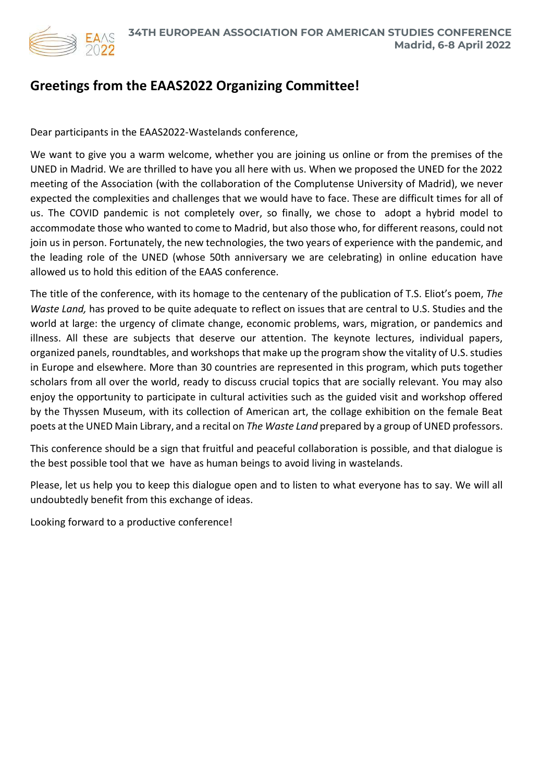

# **Greetings from the EAAS2022 Organizing Committee!**

Dear participants in the EAAS2022-Wastelands conference,

We want to give you a warm welcome, whether you are joining us online or from the premises of the UNED in Madrid. We are thrilled to have you all here with us. When we proposed the UNED for the 2022 meeting of the Association (with the collaboration of the Complutense University of Madrid), we never expected the complexities and challenges that we would have to face. These are difficult times for all of us. The COVID pandemic is not completely over, so finally, we chose to adopt a hybrid model to accommodate those who wanted to come to Madrid, but also those who, for different reasons, could not join us in person. Fortunately, the new technologies, the two years of experience with the pandemic, and the leading role of the UNED (whose 50th anniversary we are celebrating) in online education have allowed us to hold this edition of the EAAS conference.

The title of the conference, with its homage to the centenary of the publication of T.S. Eliot's poem, *The Waste Land,* has proved to be quite adequate to reflect on issues that are central to U.S. Studies and the world at large: the urgency of climate change, economic problems, wars, migration, or pandemics and illness. All these are subjects that deserve our attention. The keynote lectures, individual papers, organized panels, roundtables, and workshops that make up the program show the vitality of U.S. studies in Europe and elsewhere. More than 30 countries are represented in this program, which puts together scholars from all over the world, ready to discuss crucial topics that are socially relevant. You may also enjoy the opportunity to participate in cultural activities such as the guided visit and workshop offered by the Thyssen Museum, with its collection of American art, the collage exhibition on the female Beat poets at the UNED Main Library, and a recital on *The Waste Land* prepared by a group of UNED professors.

This conference should be a sign that fruitful and peaceful collaboration is possible, and that dialogue is the best possible tool that we have as human beings to avoid living in wastelands.

Please, let us help you to keep this dialogue open and to listen to what everyone has to say. We will all undoubtedly benefit from this exchange of ideas.

Looking forward to a productive conference!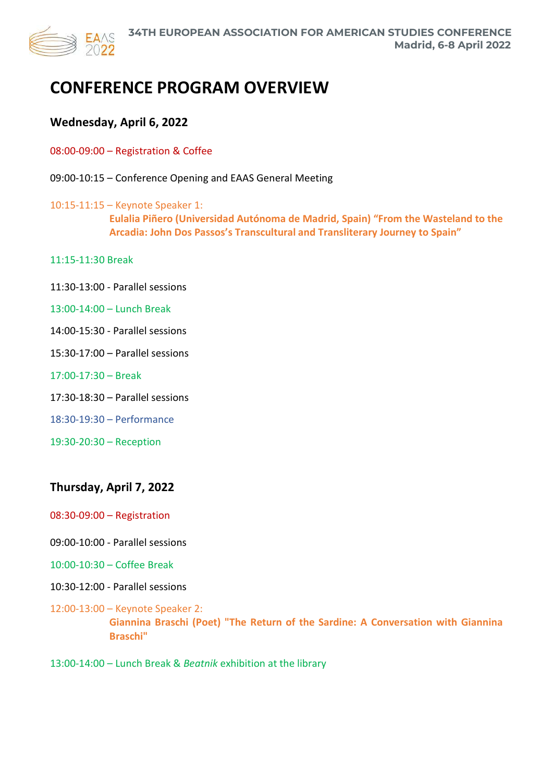

# **CONFERENCE PROGRAM OVERVIEW**

# **Wednesday, April 6, 2022**

- 08:00-09:00 Registration & Coffee
- 09:00-10:15 Conference Opening and EAAS General Meeting
- 10:15-11:15 Keynote Speaker 1: **Eulalia Piñero (Universidad Autónoma de Madrid, Spain) "From the Wasteland to the Arcadia: John Dos Passos's Transcultural and Transliterary Journey to Spain"**
- 11:15-11:30 Break
- 11:30-13:00 Parallel sessions
- 13:00-14:00 Lunch Break
- 14:00-15:30 Parallel sessions
- 15:30-17:00 Parallel sessions
- 17:00-17:30 Break
- 17:30-18:30 Parallel sessions
- 18:30-19:30 Performance
- 19:30-20:30 Reception

# **Thursday, April 7, 2022**

- 08:30-09:00 Registration
- 09:00-10:00 Parallel sessions
- 10:00-10:30 Coffee Break
- 10:30-12:00 Parallel sessions
- 12:00-13:00 Keynote Speaker 2: **Giannina Braschi (Poet) "The Return of the Sardine: A Conversation with Giannina Braschi"**
- 13:00-14:00 Lunch Break & *Beatnik* exhibition at the library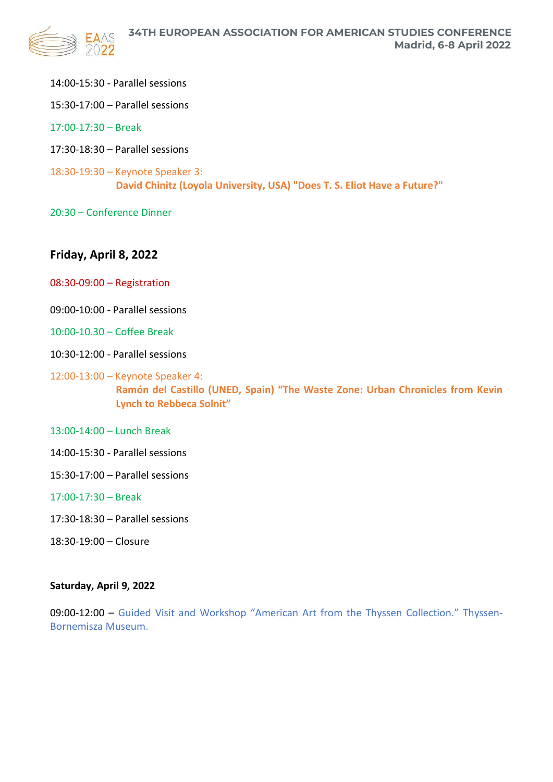

- 14:00-15:30 Parallel sessions
- 15:30-17:00 Parallel sessions
- 17:00-17:30 Break
- 17:30-18:30 Parallel sessions
- 18:30-19:30 Keynote Speaker 3: **David Chinitz (Loyola University, USA) "Does T. S. Eliot Have a Future?"**
- 20:30 Conference Dinner

# **Friday, April 8, 2022**

- 08:30-09:00 Registration
- 09:00-10:00 Parallel sessions
- 10:00-10.30 Coffee Break
- 10:30-12:00 Parallel sessions
- 12:00-13:00 Keynote Speaker 4: **Ramón del Castillo (UNED, Spain) "The Waste Zone: Urban Chronicles from Kevin Lynch to Rebbeca Solnit"**
- 13:00-14:00 Lunch Break
- 14:00-15:30 Parallel sessions
- 15:30-17:00 Parallel sessions

# 17:00-17:30 – Break

- 17:30-18:30 Parallel sessions
- 18:30-19:00 Closure

# **Saturday, April 9, 2022**

09:00-12:00 – Guided Visit and Workshop "American Art from the Thyssen Collection." Thyssen-Bornemisza Museum.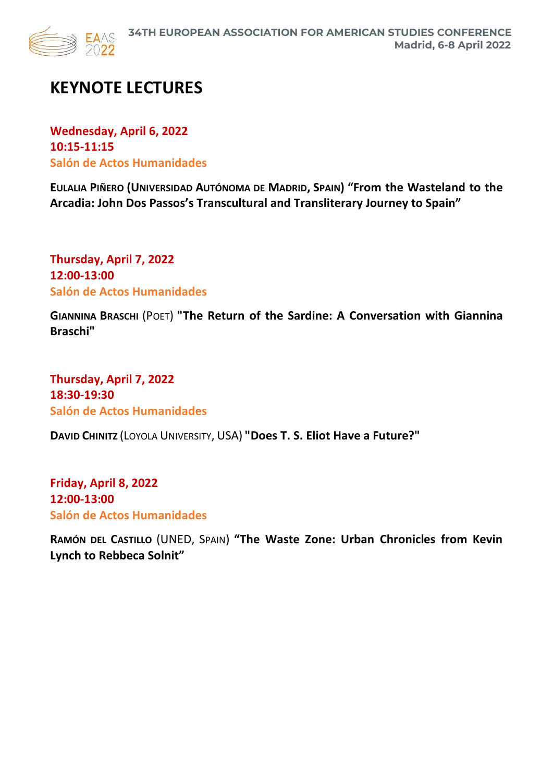

# **KEYNOTE LECTURES**

**Wednesday, April 6, 2022 10:15-11:15 Salón de Actos Humanidades**

**EULALIA PIÑERO (UNIVERSIDAD AUTÓNOMA DE MADRID, SPAIN) "From the Wasteland to the Arcadia: John Dos Passos's Transcultural and Transliterary Journey to Spain"**

**Thursday, April 7, 2022 12:00-13:00 Salón de Actos Humanidades**

**GIANNINA BRASCHI** (POET) **"The Return of the Sardine: A Conversation with Giannina Braschi"**

**Thursday, April 7, 2022 18:30-19:30 Salón de Actos Humanidades**

**DAVID CHINITZ** (LOYOLA UNIVERSITY, USA) **"Does T. S. Eliot Have a Future?"**

**Friday, April 8, 2022 12:00-13:00 Salón de Actos Humanidades**

**RAMÓN DEL CASTILLO** (UNED, SPAIN) **"The Waste Zone: Urban Chronicles from Kevin Lynch to Rebbeca Solnit"**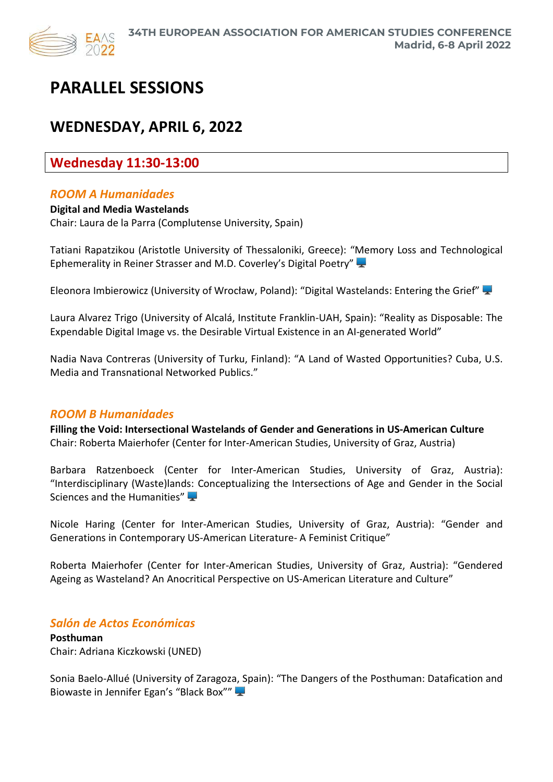

# **PARALLEL SESSIONS**

# **WEDNESDAY, APRIL 6, 2022**

# **Wednesday 11:30-13:00**

# *ROOM A Humanidades*

**Digital and Media Wastelands** Chair: Laura de la Parra (Complutense University, Spain)

Tatiani Rapatzikou (Aristotle University of Thessaloniki, Greece): "Memory Loss and Technological Ephemerality in Reiner Strasser and M.D. Coverley's Digital Poetry"

Eleonora Imbierowicz (University of Wrocław, Poland): "Digital Wastelands: Entering the Grief"

Laura Alvarez Trigo (University of Alcalá, Institute Franklin-UAH, Spain): "Reality as Disposable: The Expendable Digital Image vs. the Desirable Virtual Existence in an AI-generated World"

Nadia Nava Contreras (University of Turku, Finland): "A Land of Wasted Opportunities? Cuba, U.S. Media and Transnational Networked Publics."

# *ROOM B Humanidades*

**Filling the Void: Intersectional Wastelands of Gender and Generations in US-American Culture** Chair: Roberta Maierhofer (Center for Inter-American Studies, University of Graz, Austria)

Barbara Ratzenboeck (Center for Inter-American Studies, University of Graz, Austria): "Interdisciplinary (Waste)lands: Conceptualizing the Intersections of Age and Gender in the Social Sciences and the Humanities"

Nicole Haring (Center for Inter-American Studies, University of Graz, Austria): "Gender and Generations in Contemporary US-American Literature- A Feminist Critique"

[Roberta Maierhofer](https://interamerikanistik.uni-graz.at/en/) (Center for Inter-American Studies, University of Graz, Austria): "Gendered Ageing as Wasteland? An Anocritical Perspective on US-American Literature and Culture"

# *Salón de Actos Económicas*

**Posthuman** Chair: Adriana Kiczkowski (UNED)

Sonia Baelo-Allué (University of Zaragoza, Spain): "The Dangers of the Posthuman: Datafication and Biowaste in Jennifer Egan's "Black Box""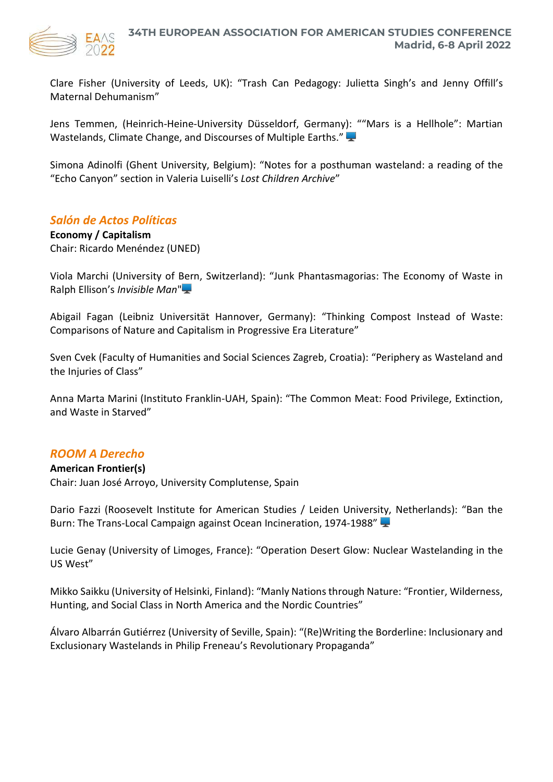

Clare Fisher (University of Leeds, UK): "Trash Can Pedagogy: Julietta Singh's and Jenny Offill's Maternal Dehumanism"

Jens Temmen, (Heinrich-Heine-University Düsseldorf, Germany): ""Mars is a Hellhole": Martian Wastelands, Climate Change, and Discourses of Multiple Earths."

Simona Adinolfi (Ghent University, Belgium): "Notes for a posthuman wasteland: a reading of the "Echo Canyon" section in Valeria Luiselli's *Lost Children Archive*"

# *Salón de Actos Políticas*

**Economy / Capitalism** Chair: Ricardo Menéndez (UNED)

Viola Marchi (University of Bern, Switzerland): "Junk Phantasmagorias: The Economy of Waste in Ralph Ellison's *Invisible Man*"

Abigail Fagan (Leibniz Universität Hannover, Germany): "Thinking Compost Instead of Waste: Comparisons of Nature and Capitalism in Progressive Era Literature"

Sven Cvek (Faculty of Humanities and Social Sciences Zagreb, Croatia): "Periphery as Wasteland and the Injuries of Class"

Anna Marta Marini (Instituto Franklin-UAH, Spain): "The Common Meat: Food Privilege, Extinction, and Waste in Starved"

# *ROOM A Derecho*

#### **American Frontier(s)**

Chair: Juan José Arroyo, University Complutense, Spain

Dario Fazzi (Roosevelt Institute for American Studies / Leiden University, Netherlands): "Ban the Burn: The Trans-Local Campaign against Ocean Incineration, 1974-1988"

Lucie Genay (University of Limoges, France): "Operation Desert Glow: Nuclear Wastelanding in the US West"

Mikko Saikku (University of Helsinki, Finland): "Manly Nations through Nature: "Frontier, Wilderness, Hunting, and Social Class in North America and the Nordic Countries"

Álvaro Albarrán Gutiérrez (University of Seville, Spain): "(Re)Writing the Borderline: Inclusionary and Exclusionary Wastelands in Philip Freneau's Revolutionary Propaganda"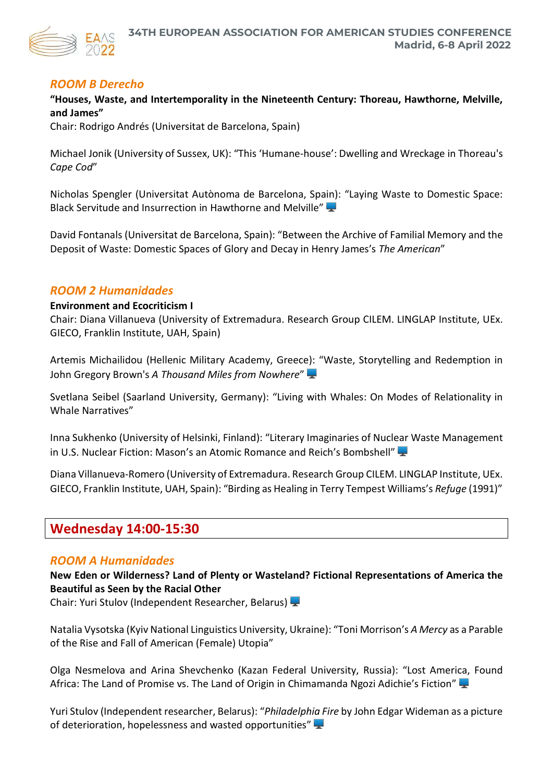

# *ROOM B Derecho*

# **"Houses, Waste, and Intertemporality in the Nineteenth Century: Thoreau, Hawthorne, Melville, and James"**

Chair: Rodrigo Andrés (Universitat de Barcelona, Spain)

Michael Jonik (University of Sussex, UK): "This 'Humane-house': Dwelling and Wreckage in Thoreau's *Cape Cod*"

Nicholas Spengler (Universitat Autònoma de Barcelona, Spain): "Laying Waste to Domestic Space: Black Servitude and Insurrection in Hawthorne and Melville"

David Fontanals (Universitat de Barcelona, Spain): "Between the Archive of Familial Memory and the Deposit of Waste: Domestic Spaces of Glory and Decay in Henry James's *The American*"

# *ROOM 2 Humanidades*

#### **Environment and Ecocriticism I**

Chair: Diana Villanueva (University of Extremadura. Research Group CILEM. LINGLAP Institute, UEx. GIECO, Franklin Institute, UAH, Spain)

Artemis Michailidou (Hellenic Military Academy, Greece): "Waste, Storytelling and Redemption in John Gregory Brown's *A Thousand Miles from Nowhere*"

Svetlana Seibel (Saarland University, Germany): "Living with Whales: On Modes of Relationality in Whale Narratives"

Inna Sukhenko (University of Helsinki, Finland): "Literary Imaginaries of Nuclear Waste Management in U.S. Nuclear Fiction: Mason's an Atomic Romance and Reich's Bombshell"

Diana Villanueva-Romero (University of Extremadura. Research Group CILEM. LINGLAP Institute, UEx. GIECO, Franklin Institute, UAH, Spain): "Birding as Healing in Terry Tempest Williams's *Refuge* (1991)"

# **Wednesday 14:00-15:30**

# *ROOM A Humanidades*

**New Eden or Wilderness? Land of Plenty or Wasteland? Fictional Representations of America the Beautiful as Seen by the Racial Other**

Chair: Yuri Stulov (Independent Researcher, Belarus)

Natalia Vysotska (Kyiv National Linguistics University, Ukraine): "Toni Morrison's *A Mercy* as a Parable of the Rise and Fall of American (Female) Utopia"

Olga Nesmelova and Arina Shevchenko (Kazan Federal University, Russia): "Lost America, Found Africa: The Land of Promise vs. The Land of Origin in Chimamanda Ngozi Adichie's Fiction"

Yuri Stulov (Independent researcher, Belarus): "*Philadelphia Fire* by John Edgar Wideman as a picture of deterioration, hopelessness and wasted opportunities"  $\blacktriangleright$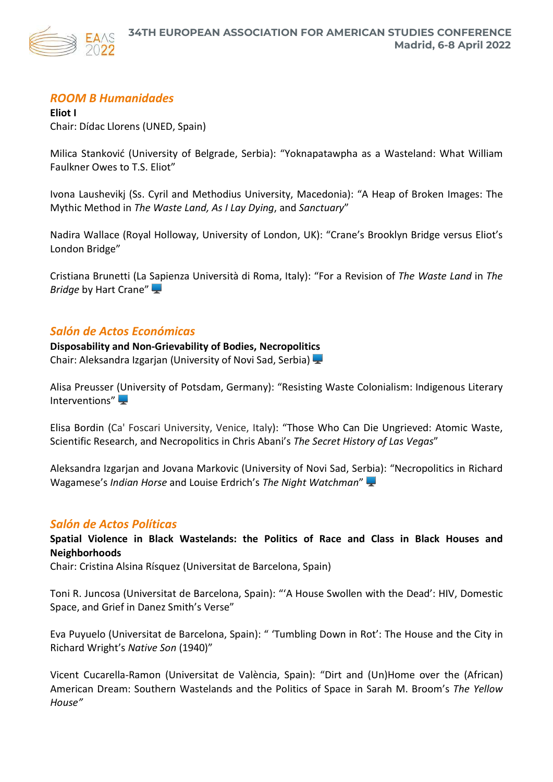

# *ROOM B Humanidades*

**Eliot I** Chair: Dídac Llorens (UNED, Spain)

Milica Stanković (University of Belgrade, Serbia): "Yoknapatawpha as a Wasteland: What William Faulkner Owes to T.S. Eliot"

Ivona Laushevikj (Ss. Cyril and Methodius University, Macedonia): "A Heap of Broken Images: The Mythic Method in *The Waste Land, As I Lay Dying*, and *Sanctuary*"

Nadira Wallace (Royal Holloway, University of London, UK): "Crane's Brooklyn Bridge versus Eliot's London Bridge"

Cristiana Brunetti (La Sapienza Università di Roma, Italy): "For a Revision of *The Waste Land* in *The Bridge* by Hart Crane"

# *Salón de Actos Económicas*

**Disposability and Non-Grievability of Bodies, Necropolitics** Chair: Aleksandra Izgarjan (University of Novi Sad, Serbia)

Alisa Preusser (University of Potsdam, Germany): "Resisting Waste Colonialism: Indigenous Literary Interventions"

Elisa Bordin (Ca' Foscari University, Venice, Italy): "Those Who Can Die Ungrieved: Atomic Waste, Scientific Research, and Necropolitics in Chris Abani's *The Secret History of Las Vegas*"

Aleksandra Izgarjan and Jovana Markovic (University of Novi Sad, Serbia): "Necropolitics in Richard Wagamese's *Indian Horse* and Louise Erdrich's *The Night Watchman*"

# *Salón de Actos Políticas*

**Spatial Violence in Black Wastelands: the Politics of Race and Class in Black Houses and Neighborhoods**

Chair: Cristina Alsina Rísquez (Universitat de Barcelona, Spain)

Toni R. Juncosa (Universitat de Barcelona, Spain): "'A House Swollen with the Dead': HIV, Domestic Space, and Grief in Danez Smith's Verse"

Eva Puyuelo (Universitat de Barcelona, Spain): " 'Tumbling Down in Rot': The House and the City in Richard Wright's *Native Son* (1940)"

Vicent Cucarella-Ramon (Universitat de València, Spain): "Dirt and (Un)Home over the (African) American Dream: Southern Wastelands and the Politics of Space in Sarah M. Broom's *The Yellow House"*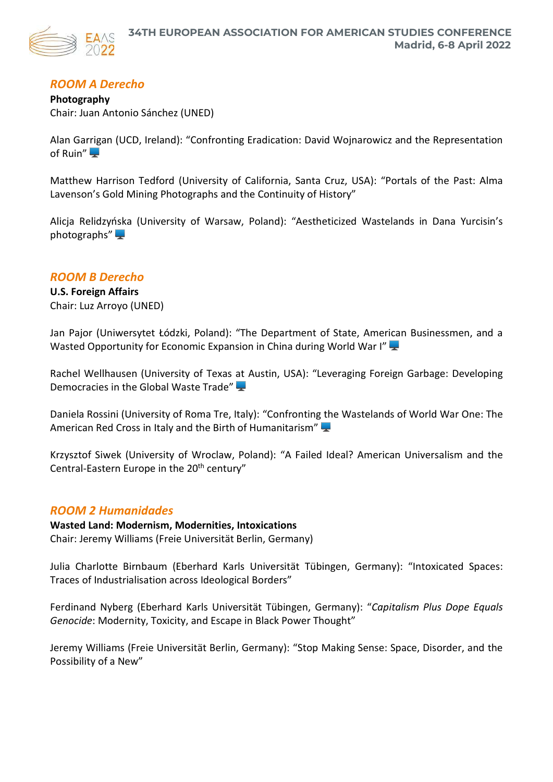# *ROOM A Derecho*

**Photography** Chair: Juan Antonio Sánchez (UNED)

Alan Garrigan (UCD, Ireland): "Confronting Eradication: David Wojnarowicz and the Representation of Ruin"

Matthew Harrison Tedford (University of California, Santa Cruz, USA): "Portals of the Past: Alma Lavenson's Gold Mining Photographs and the Continuity of History"

Alicja Relidzyńska (University of Warsaw, Poland): "Aestheticized Wastelands in Dana Yurcisin's photographs" $\blacktriangleright$ 

# *ROOM B Derecho*

**U.S. Foreign Affairs** Chair: Luz Arroyo (UNED)

Jan Pajor (Uniwersytet Łódzki, Poland): "The Department of State, American Businessmen, and a Wasted Opportunity for Economic Expansion in China during World War I"

Rachel Wellhausen (University of Texas at Austin, USA): "Leveraging Foreign Garbage: Developing Democracies in the Global Waste Trade"

Daniela Rossini (University of Roma Tre, Italy): "Confronting the Wastelands of World War One: The American Red Cross in Italy and the Birth of Humanitarism"

Krzysztof Siwek (University of Wroclaw, Poland): "A Failed Ideal? American Universalism and the Central-Eastern Europe in the 20<sup>th</sup> century"

# *ROOM 2 Humanidades*

# **Wasted Land: Modernism, Modernities, Intoxications**

Chair: Jeremy Williams (Freie Universität Berlin, Germany)

Julia Charlotte Birnbaum (Eberhard Karls Universität Tübingen, Germany): "Intoxicated Spaces: Traces of Industrialisation across Ideological Borders"

Ferdinand Nyberg (Eberhard Karls Universität Tübingen, Germany): "*Capitalism Plus Dope Equals Genocide*: Modernity, Toxicity, and Escape in Black Power Thought"

Jeremy Williams (Freie Universität Berlin, Germany): "Stop Making Sense: Space, Disorder, and the Possibility of a New"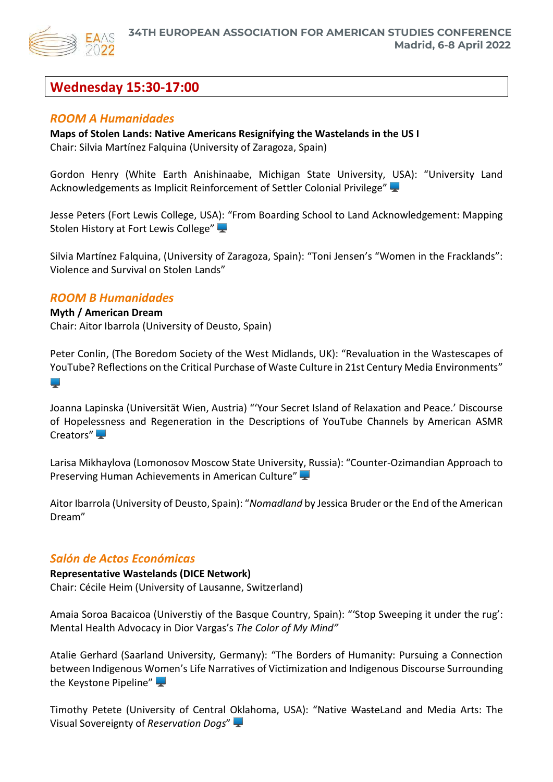

# **Wednesday 15:30-17:00**

# *ROOM A Humanidades*

# **Maps of Stolen Lands: Native Americans Resignifying the Wastelands in the US I**

Chair: Silvia Martínez Falquina (University of Zaragoza, Spain)

Gordon Henry (White Earth Anishinaabe, Michigan State University, USA): "University Land Acknowledgements as Implicit Reinforcement of Settler Colonial Privilege"

Jesse Peters (Fort Lewis College, USA): "From Boarding School to Land Acknowledgement: Mapping Stolen History at Fort Lewis College"

Silvia Martínez Falquina, (University of Zaragoza, Spain): "Toni Jensen's "Women in the Fracklands": Violence and Survival on Stolen Lands"

# *ROOM B Humanidades*

#### **Myth / American Dream**

**College** 

Chair: Aitor Ibarrola (University of Deusto, Spain)

Peter Conlin, (The Boredom Society of the West Midlands, UK): "Revaluation in the Wastescapes of YouTube? Reflections on the Critical Purchase of Waste Culture in 21st Century Media Environments"

Joanna Lapinska (Universität Wien, Austria) "'Your Secret Island of Relaxation and Peace.' Discourse of Hopelessness and Regeneration in the Descriptions of YouTube Channels by American ASMR Creators"

Larisa Mikhaylova (Lomonosov Moscow State University, Russia): "Counter-Ozimandian Approach to Preserving Human Achievements in American Culture"

Aitor Ibarrola (University of Deusto, Spain): "*Nomadland* by Jessica Bruder or the End of the American Dream"

# *Salón de Actos Económicas*

**Representative Wastelands (DICE Network)** Chair: Cécile Heim (University of Lausanne, Switzerland)

Amaia Soroa Bacaicoa (Universtiy of the Basque Country, Spain): "'Stop Sweeping it under the rug': Mental Health Advocacy in Dior Vargas's *The Color of My Mind"*

Atalie Gerhard (Saarland University, Germany): "The Borders of Humanity: Pursuing a Connection between Indigenous Women's Life Narratives of Victimization and Indigenous Discourse Surrounding the Keystone Pipeline"

Timothy Petete (University of Central Oklahoma, USA): "Native WasteLand and Media Arts: The Visual Sovereignty of *Reservation Dogs*"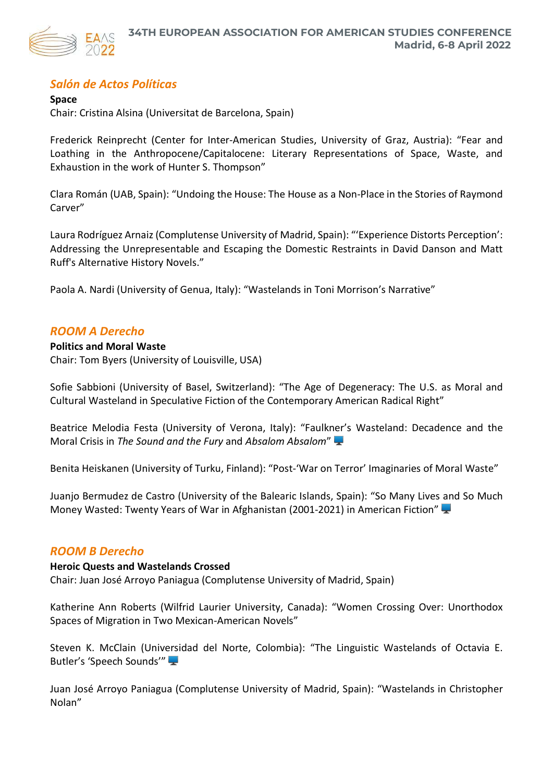

# *Salón de Actos Políticas*

**Space**  Chair: Cristina Alsina (Universitat de Barcelona, Spain)

Frederick Reinprecht (Center for Inter-American Studies, University of Graz, Austria): "Fear and Loathing in the Anthropocene/Capitalocene: Literary Representations of Space, Waste, and Exhaustion in the work of Hunter S. Thompson"

**Madrid, 6-8 April 2022**

Clara Román (UAB, Spain): "Undoing the House: The House as a Non-Place in the Stories of Raymond Carver"

Laura Rodríguez Arnaiz(Complutense University of Madrid, Spain): "'Experience Distorts Perception': Addressing the Unrepresentable and Escaping the Domestic Restraints in David Danson and Matt Ruff's Alternative History Novels."

Paola A. Nardi (University of Genua, Italy): "Wastelands in Toni Morrison's Narrative"

# *ROOM A Derecho*

**Politics and Moral Waste**  Chair: Tom Byers (University of Louisville, USA)

Sofie Sabbioni (University of Basel, Switzerland): "The Age of Degeneracy: The U.S. as Moral and Cultural Wasteland in Speculative Fiction of the Contemporary American Radical Right"

Beatrice Melodia Festa (University of Verona, Italy): "Faulkner's Wasteland: Decadence and the Moral Crisis in *The Sound and the Fury* and *Absalom Absalom*"

Benita Heiskanen (University of Turku, Finland): "Post-'War on Terror' Imaginaries of Moral Waste"

Juanjo Bermudez de Castro (University of the Balearic Islands, Spain): "So Many Lives and So Much Money Wasted: Twenty Years of War in Afghanistan (2001-2021) in American Fiction"

# *ROOM B Derecho*

# **Heroic Quests and Wastelands Crossed**

Chair: Juan José Arroyo Paniagua (Complutense University of Madrid, Spain)

Katherine Ann Roberts (Wilfrid Laurier University, Canada): "Women Crossing Over: Unorthodox Spaces of Migration in Two Mexican-American Novels"

Steven K. McClain (Universidad del Norte, Colombia): "The Linguistic Wastelands of Octavia E. Butler's 'Speech Sounds'"

Juan José Arroyo Paniagua (Complutense University of Madrid, Spain): "Wastelands in Christopher Nolan"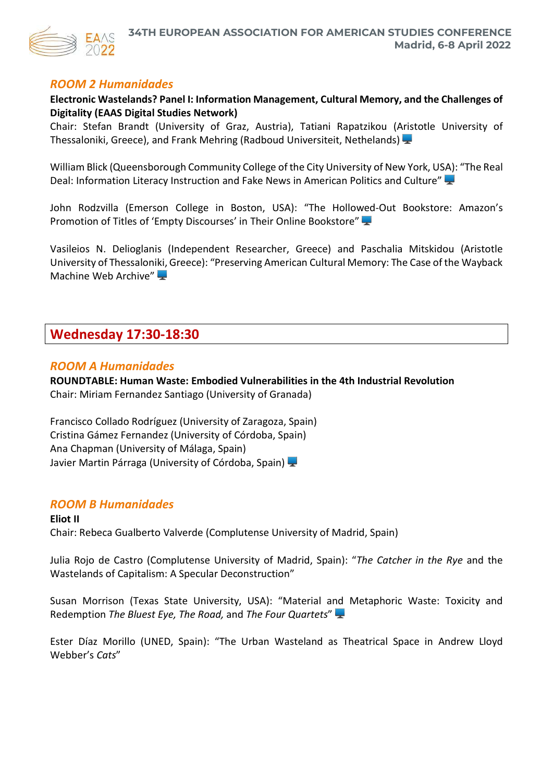

# *ROOM 2 Humanidades*

**Electronic Wastelands? Panel I: Information Management, Cultural Memory, and the Challenges of Digitality (EAAS Digital Studies Network)**

Chair: Stefan Brandt (University of Graz, Austria), Tatiani Rapatzikou (Aristotle University of Thessaloniki, Greece), and Frank Mehring (Radboud Universiteit, Nethelands)

William Blick (Queensborough Community College of the City University of New York, USA): "The Real Deal: Information Literacy Instruction and Fake News in American Politics and Culture"

John Rodzvilla (Emerson College in Boston, USA): "The Hollowed-Out Bookstore: Amazon's Promotion of Titles of 'Empty Discourses' in Their Online Bookstore"

Vasileios N. Delioglanis (Independent Researcher, Greece) and Paschalia Mitskidou (Aristotle University of Thessaloniki, Greece): "Preserving American Cultural Memory: The Case of the Wayback Machine Web Archive"

# **Wednesday 17:30-18:30**

# *ROOM A Humanidades*

**ROUNDTABLE: Human Waste: Embodied Vulnerabilities in the 4th Industrial Revolution** Chair: Miriam Fernandez Santiago (University of Granada)

Francisco Collado Rodríguez (University of Zaragoza, Spain) Cristina Gámez Fernandez (University of Córdoba, Spain) Ana Chapman (University of Málaga, Spain) Javier Martin Párraga (University of Córdoba, Spain)

# *ROOM B Humanidades*

**Eliot II** Chair: Rebeca Gualberto Valverde (Complutense University of Madrid, Spain)

Julia Rojo de Castro (Complutense University of Madrid, Spain): "*The Catcher in the Rye* and the Wastelands of Capitalism: A Specular Deconstruction"

Susan Morrison (Texas State University, USA): "Material and Metaphoric Waste: Toxicity and Redemption *The Bluest Eye, The Road,* and *The Four Quartets*"

Ester Díaz Morillo (UNED, Spain): "The Urban Wasteland as Theatrical Space in Andrew Lloyd Webber's *Cats*"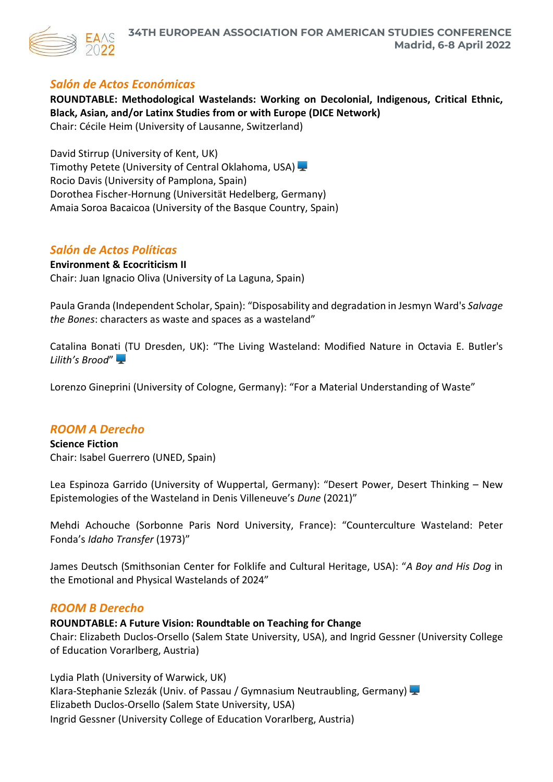

# *Salón de Actos Económicas*

**ROUNDTABLE: Methodological Wastelands: Working on Decolonial, Indigenous, Critical Ethnic, Black, Asian, and/or Latinx Studies from or with Europe (DICE Network)** Chair: Cécile Heim (University of Lausanne, Switzerland)

David Stirrup (University of Kent, UK) Timothy Petete (University of Central Oklahoma, USA) Rocio Davis (University of Pamplona, Spain) Dorothea Fischer-Hornung (Universität Hedelberg, Germany) Amaia Soroa Bacaicoa (University of the Basque Country, Spain)

# *Salón de Actos Políticas*

# **Environment & Ecocriticism II**

Chair: Juan Ignacio Oliva (University of La Laguna, Spain)

Paula Granda (Independent Scholar, Spain): "Disposability and degradation in Jesmyn Ward's *Salvage the Bones*: characters as waste and spaces as a wasteland"

Catalina Bonati (TU Dresden, UK): "The Living Wasteland: Modified Nature in Octavia E. Butler's *Lilith's Brood*"

Lorenzo Gineprini (University of Cologne, Germany): "For a Material Understanding of Waste"

# *ROOM A Derecho*

**Science Fiction** Chair: Isabel Guerrero (UNED, Spain)

Lea Espinoza Garrido (University of Wuppertal, Germany): "Desert Power, Desert Thinking – New Epistemologies of the Wasteland in Denis Villeneuve's *Dune* (2021)"

Mehdi Achouche (Sorbonne Paris Nord University, France): "Counterculture Wasteland: Peter Fonda's *Idaho Transfer* (1973)"

James Deutsch (Smithsonian Center for Folklife and Cultural Heritage, USA): "*A Boy and His Dog* in the Emotional and Physical Wastelands of 2024"

# *ROOM B Derecho*

# **ROUNDTABLE: A Future Vision: Roundtable on Teaching for Change**

Chair: Elizabeth Duclos-Orsello (Salem State University, USA), and Ingrid Gessner (University College of Education Vorarlberg, Austria)

Lydia Plath (University of Warwick, UK) Klara-Stephanie Szlezák (Univ. of Passau / Gymnasium Neutraubling, Germany) Elizabeth Duclos-Orsello (Salem State University, USA) Ingrid Gessner (University College of Education Vorarlberg, Austria)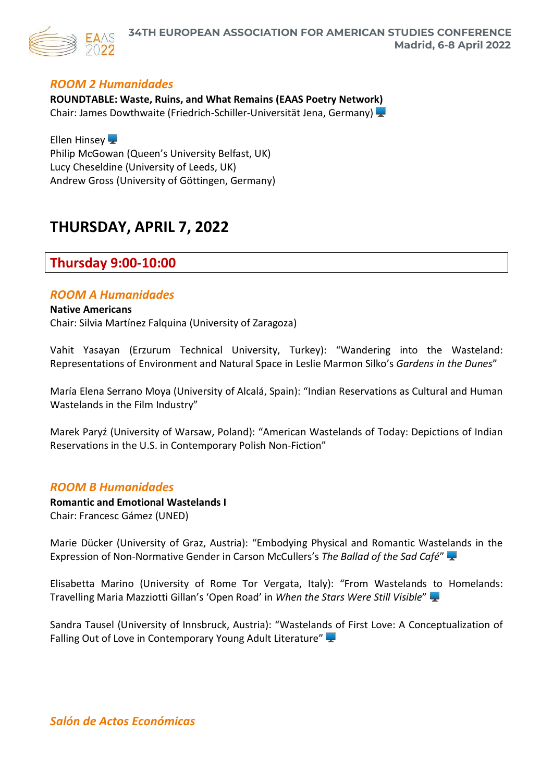

# *ROOM 2 Humanidades*

**ROUNDTABLE: Waste, Ruins, and What Remains (EAAS Poetry Network)** Chair: James Dowthwaite (Friedrich-Schiller-Universität Jena, Germany)

Ellen Hinsey Philip McGowan (Queen's University Belfast, UK) Lucy Cheseldine (University of Leeds, UK) Andrew Gross (University of Göttingen, Germany)

# **THURSDAY, APRIL 7, 2022**

# **Thursday 9:00-10:00**

# *ROOM A Humanidades*

**Native Americans** Chair: Silvia Martínez Falquina (University of Zaragoza)

Vahit Yasayan (Erzurum Technical University, Turkey): "Wandering into the Wasteland: Representations of Environment and Natural Space in Leslie Marmon Silko's *Gardens in the Dunes*"

María Elena Serrano Moya (University of Alcalá, Spain): "Indian Reservations as Cultural and Human Wastelands in the Film Industry"

Marek Paryź (University of Warsaw, Poland): "American Wastelands of Today: Depictions of Indian Reservations in the U.S. in Contemporary Polish Non-Fiction"

# *ROOM B Humanidades*

**Romantic and Emotional Wastelands I** Chair: Francesc Gámez (UNED)

Marie Dücker (University of Graz, Austria): "Embodying Physical and Romantic Wastelands in the Expression of Non-Normative Gender in Carson McCullers's *The Ballad of the Sad Café*"

Elisabetta Marino (University of Rome Tor Vergata, Italy): "From Wastelands to Homelands: Travelling Maria Mazziotti Gillan's 'Open Road' in *When the Stars Were Still Visible*"

Sandra Tausel (University of Innsbruck, Austria): "Wastelands of First Love: A Conceptualization of Falling Out of Love in Contemporary Young Adult Literature"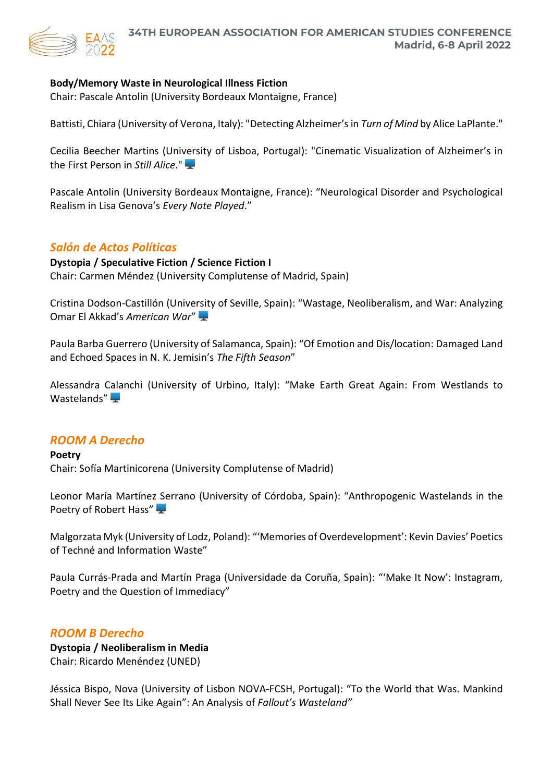

# **Body/Memory Waste in Neurological Illness Fiction**

Chair: Pascale Antolin (University Bordeaux Montaigne, France)

Battisti, Chiara (University of Verona, Italy): "Detecting Alzheimer's in *Turn of Mind* by Alice LaPlante."

Cecilia Beecher Martins (University of Lisboa, Portugal): "Cinematic Visualization of Alzheimer's in the First Person in *Still Alice*."

Pascale Antolin (University Bordeaux Montaigne, France): "Neurological Disorder and Psychological Realism in Lisa Genova's *Every Note Played*."

# *Salón de Actos Políticas*

# **Dystopia / Speculative Fiction / Science Fiction I**

Chair: Carmen Méndez (University Complutense of Madrid, Spain)

Cristina Dodson-Castillón (University of Seville, Spain): "Wastage, Neoliberalism, and War: Analyzing Omar El Akkad's *American War*"

Paula Barba Guerrero (University of Salamanca, Spain): "Of Emotion and Dis/location: Damaged Land and Echoed Spaces in N. K. Jemisin's *The Fifth Season*"

Alessandra Calanchi (University of Urbino, Italy): "Make Earth Great Again: From Westlands to Wastelands" $\blacksquare$ 

# *ROOM A Derecho*

# **Poetry**

Chair: Sofía Martinicorena (University Complutense of Madrid)

Leonor María Martínez Serrano (University of Córdoba, Spain): "Anthropogenic Wastelands in the Poetry of Robert Hass"

Malgorzata Myk (University of Lodz, Poland): "'Memories of Overdevelopment': Kevin Davies' Poetics of Techné and Information Waste"

Paula Currás-Prada and Martín Praga (Universidade da Coruña, Spain): "'Make It Now': Instagram, Poetry and the Question of Immediacy"

# *ROOM B Derecho*

**Dystopia / Neoliberalism in Media** Chair: Ricardo Menéndez (UNED)

Jéssica Bispo, Nova (University of Lisbon NOVA-FCSH, Portugal): "To the World that Was. Mankind Shall Never See Its Like Again": An Analysis of *Fallout's Wasteland"*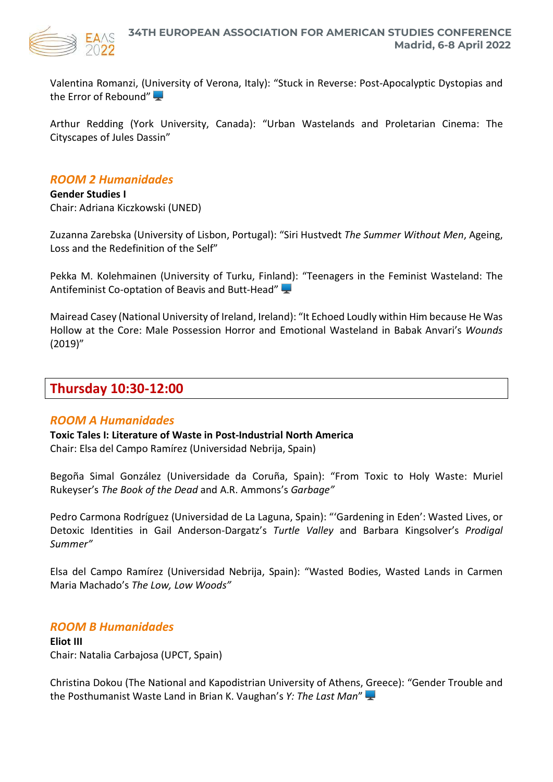

Valentina Romanzi, (University of Verona, Italy): "Stuck in Reverse: Post-Apocalyptic Dystopias and the Error of Rebound"

Arthur Redding (York University, Canada): "Urban Wastelands and Proletarian Cinema: The Cityscapes of Jules Dassin"

# *ROOM 2 Humanidades*

**Gender Studies I** Chair: Adriana Kiczkowski (UNED)

Zuzanna Zarebska (University of Lisbon, Portugal): "Siri Hustvedt *The Summer Without Men*, Ageing, Loss and the Redefinition of the Self"

Pekka M. Kolehmainen (University of Turku, Finland): "Teenagers in the Feminist Wasteland: The Antifeminist Co-optation of Beavis and Butt-Head"

Mairead Casey (National University of Ireland, Ireland): "It Echoed Loudly within Him because He Was Hollow at the Core: Male Possession Horror and Emotional Wasteland in Babak Anvari's *Wounds* (2019)"

# **Thursday 10:30-12:00**

# *ROOM A Humanidades*

**Toxic Tales I: Literature of Waste in Post-Industrial North America**

Chair: Elsa del Campo Ramírez (Universidad Nebrija, Spain)

Begoña Simal González (Universidade da Coruña, Spain): "From Toxic to Holy Waste: Muriel Rukeyser's *The Book of the Dead* and A.R. Ammons's *Garbage"*

Pedro Carmona Rodríguez (Universidad de La Laguna, Spain): "'Gardening in Eden': Wasted Lives, or Detoxic Identities in Gail Anderson-Dargatz's *Turtle Valley* and Barbara Kingsolver's *Prodigal Summer"*

Elsa del Campo Ramírez (Universidad Nebrija, Spain): "Wasted Bodies, Wasted Lands in Carmen Maria Machado's *The Low, Low Woods"*

# *ROOM B Humanidades*

**Eliot III** Chair: Natalia Carbajosa (UPCT, Spain)

Christina Dokou (The National and Kapodistrian University of Athens, Greece): "Gender Trouble and the Posthumanist Waste Land in Brian K. Vaughan's *Y: The Last Man*"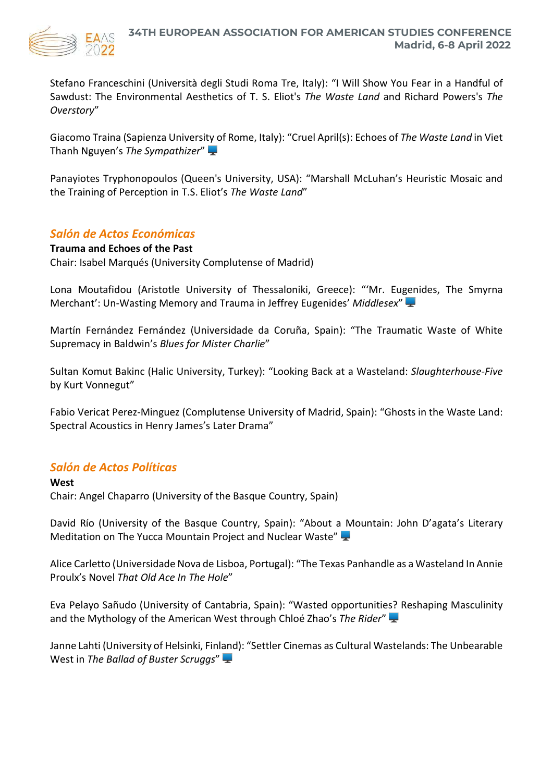

Stefano Franceschini (Università degli Studi Roma Tre, Italy): "I Will Show You Fear in a Handful of Sawdust: The Environmental Aesthetics of T. S. Eliot's *The Waste Land* and Richard Powers's *The Overstory*"

Giacomo Traina (Sapienza University of Rome, Italy): "Cruel April(s): Echoes of *The Waste Land* in Viet Thanh Nguyen's *The Sympathizer*"

Panayiotes Tryphonopoulos (Queen's University, USA): "Marshall McLuhan's Heuristic Mosaic and the Training of Perception in T.S. Eliot's *The Waste Land*"

# *Salón de Actos Económicas*

# **Trauma and Echoes of the Past**

Chair: Isabel Marqués (University Complutense of Madrid)

Lona Moutafidou (Aristotle University of Thessaloniki, Greece): "'Mr. Eugenides, The Smyrna Merchant': Un-Wasting Memory and Trauma in Jeffrey Eugenides' *Middlesex*"

Martín Fernández Fernández (Universidade da Coruña, Spain): "The Traumatic Waste of White Supremacy in Baldwin's *Blues for Mister Charlie*"

Sultan Komut Bakinc (Halic University, Turkey): "Looking Back at a Wasteland: *Slaughterhouse-Five* by Kurt Vonnegut"

Fabio Vericat Perez-Minguez (Complutense University of Madrid, Spain): "Ghosts in the Waste Land: Spectral Acoustics in Henry James's Later Drama"

# *Salón de Actos Políticas*

**West** Chair: Angel Chaparro (University of the Basque Country, Spain)

David Río (University of the Basque Country, Spain): "About a Mountain: John D'agata's Literary Meditation on The Yucca Mountain Project and Nuclear Waste"

Alice Carletto (Universidade Nova de Lisboa, Portugal): "The Texas Panhandle as a Wasteland In Annie Proulx's Novel *That Old Ace In The Hole*"

Eva Pelayo Sañudo (University of Cantabria, Spain): "Wasted opportunities? Reshaping Masculinity and the Mythology of the American West through Chloé Zhao's *The Rider*"

Janne Lahti (University of Helsinki, Finland): "Settler Cinemas as Cultural Wastelands: The Unbearable West in *The Ballad of Buster Scruggs*"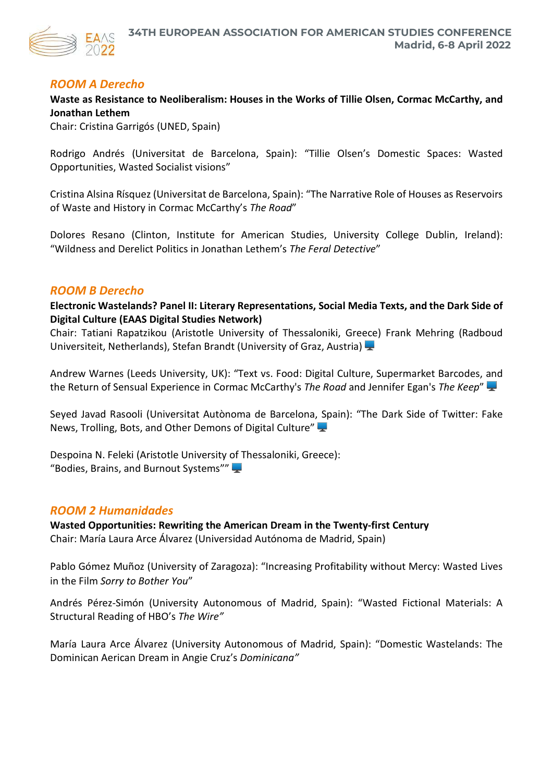

# *ROOM A Derecho*

**Waste as Resistance to Neoliberalism: Houses in the Works of Tillie Olsen, Cormac McCarthy, and Jonathan Lethem**

Chair: Cristina Garrigós (UNED, Spain)

Rodrigo Andrés (Universitat de Barcelona, Spain): "Tillie Olsen's Domestic Spaces: Wasted Opportunities, Wasted Socialist visions"

Cristina Alsina Rísquez (Universitat de Barcelona, Spain): "The Narrative Role of Houses as Reservoirs of Waste and History in Cormac McCarthy's *The Road*"

Dolores Resano (Clinton, Institute for American Studies, University College Dublin, Ireland): "Wildness and Derelict Politics in Jonathan Lethem's *The Feral Detective*"

# *ROOM B Derecho*

**Electronic Wastelands? Panel II: Literary Representations, Social Media Texts, and the Dark Side of Digital Culture (EAAS Digital Studies Network)**

Chair: Tatiani Rapatzikou (Aristotle University of Thessaloniki, Greece) Frank Mehring (Radboud Universiteit, Netherlands), Stefan Brandt (University of Graz, Austria)

Andrew Warnes (Leeds University, UK): "Text vs. Food: Digital Culture, Supermarket Barcodes, and the Return of Sensual Experience in Cormac McCarthy's *The Road* and Jennifer Egan's *The Keep*"

Seyed Javad Rasooli (Universitat Autònoma de Barcelona, Spain): "The Dark Side of Twitter: Fake News, Trolling, Bots, and Other Demons of Digital Culture"

Despoina N. Feleki (Aristotle University of Thessaloniki, Greece): "Bodies, Brains, and Burnout Systems""

# *ROOM 2 Humanidades*

**Wasted Opportunities: Rewriting the American Dream in the Twenty-first Century** Chair: María Laura Arce Álvarez (Universidad Autónoma de Madrid, Spain)

Pablo Gómez Muñoz (University of Zaragoza): "Increasing Profitability without Mercy: Wasted Lives in the Film *Sorry to Bother You*"

Andrés Pérez-Simón (University Autonomous of Madrid, Spain): "Wasted Fictional Materials: A Structural Reading of HBO's *The Wire"*

María Laura Arce Álvarez (University Autonomous of Madrid, Spain): "Domestic Wastelands: The Dominican Aerican Dream in Angie Cruz's *Dominicana"*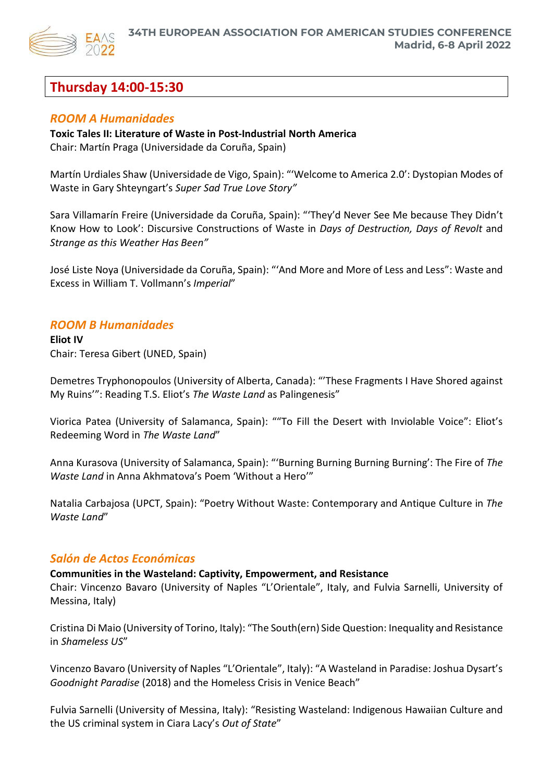

# **Thursday 14:00-15:30**

# *ROOM A Humanidades*

# **Toxic Tales II: Literature of Waste in Post-Industrial North America**

Chair: Martín Praga (Universidade da Coruña, Spain)

Martín Urdiales Shaw (Universidade de Vigo, Spain): "'Welcome to America 2.0': Dystopian Modes of Waste in Gary Shteyngart's *Super Sad True Love Story"*

Sara Villamarín Freire (Universidade da Coruña, Spain): "'They'd Never See Me because They Didn't Know How to Look': Discursive Constructions of Waste in *Days of Destruction, Days of Revolt* and *Strange as this Weather Has Been"*

José Liste Noya (Universidade da Coruña, Spain): "'And More and More of Less and Less": Waste and Excess in William T. Vollmann's *Imperial*"

# *ROOM B Humanidades*

**Eliot IV** Chair: Teresa Gibert (UNED, Spain)

Demetres Tryphonopoulos (University of Alberta, Canada): "'These Fragments I Have Shored against My Ruins'": Reading T.S. Eliot's *The Waste Land* as Palingenesis"

Viorica Patea (University of Salamanca, Spain): ""To Fill the Desert with Inviolable Voice": Eliot's Redeeming Word in *The Waste Land*"

Anna Kurasova (University of Salamanca, Spain): "'Burning Burning Burning Burning': The Fire of *The Waste Land* in Anna Akhmatova's Poem 'Without a Hero'"

Natalia Carbajosa (UPCT, Spain): "Poetry Without Waste: Contemporary and Antique Culture in *The Waste Land*"

# *Salón de Actos Económicas*

**Communities in the Wasteland: Captivity, Empowerment, and Resistance**

Chair: Vincenzo Bavaro (University of Naples "L'Orientale", Italy, and Fulvia Sarnelli, University of Messina, Italy)

Cristina Di Maio (University of Torino, Italy): "The South(ern) Side Question: Inequality and Resistance in *Shameless US*"

Vincenzo Bavaro (University of Naples "L'Orientale", Italy): "A Wasteland in Paradise: Joshua Dysart's *Goodnight Paradise* (2018) and the Homeless Crisis in Venice Beach"

Fulvia Sarnelli (University of Messina, Italy): "Resisting Wasteland: Indigenous Hawaiian Culture and the US criminal system in Ciara Lacy's *Out of State*"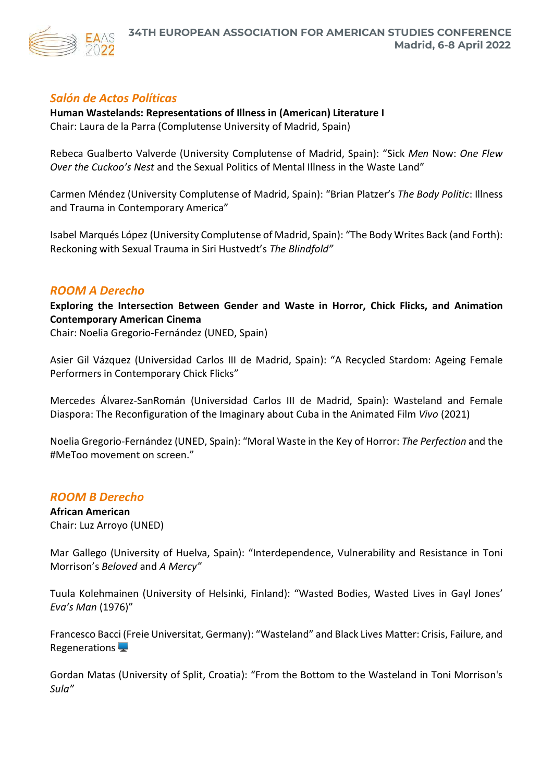

# *Salón de Actos Políticas*

# **Human Wastelands: Representations of Illness in (American) Literature I** Chair: Laura de la Parra (Complutense University of Madrid, Spain)

Rebeca Gualberto Valverde (University Complutense of Madrid, Spain): "Sick *Men* Now: *One Flew Over the Cuckoo's Nest* and the Sexual Politics of Mental Illness in the Waste Land"

Carmen Méndez (University Complutense of Madrid, Spain): "Brian Platzer's *The Body Politic*: Illness and Trauma in Contemporary America"

Isabel Marqués López (University Complutense of Madrid, Spain): "The Body Writes Back (and Forth): Reckoning with Sexual Trauma in Siri Hustvedt's *The Blindfold"*

# *ROOM A Derecho*

**Exploring the Intersection Between Gender and Waste in Horror, Chick Flicks, and Animation Contemporary American Cinema**

Chair: Noelia Gregorio-Fernández (UNED, Spain)

Asier Gil Vázquez (Universidad Carlos III de Madrid, Spain): "A Recycled Stardom: Ageing Female Performers in Contemporary Chick Flicks"

Mercedes Álvarez-SanRomán (Universidad Carlos III de Madrid, Spain): Wasteland and Female Diaspora: The Reconfiguration of the Imaginary about Cuba in the Animated Film *Vivo* (2021)

Noelia Gregorio-Fernández (UNED, Spain): "Moral Waste in the Key of Horror: *The Perfection* and the #MeToo movement on screen."

# *ROOM B Derecho*

**African American** Chair: Luz Arroyo (UNED)

Mar Gallego (University of Huelva, Spain): "Interdependence, Vulnerability and Resistance in Toni Morrison's *Beloved* and *A Mercy"*

Tuula Kolehmainen (University of Helsinki, Finland): "Wasted Bodies, Wasted Lives in Gayl Jones' *Eva's Man* (1976)"

Francesco Bacci (Freie Universitat, Germany): "Wasteland" and Black Lives Matter: Crisis, Failure, and Regenerations  $\blacktriangleright$ 

Gordan Matas (University of Split, Croatia): "From the Bottom to the Wasteland in Toni Morrison's *Sula"*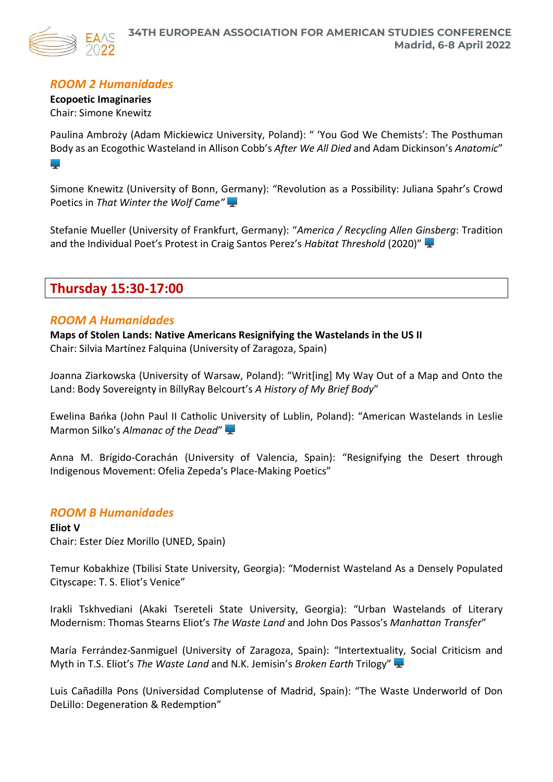

# *ROOM 2 Humanidades*

**Ecopoetic Imaginaries** Chair: Simone Knewitz

Paulina Ambroży (Adam Mickiewicz University, Poland): " 'You God We Chemists': The Posthuman Body as an Ecogothic Wasteland in Allison Cobb's *After We All Died* and Adam Dickinson's *Anatomic*" البراء

Simone Knewitz (University of Bonn, Germany): "Revolution as a Possibility: Juliana Spahr's Crowd Poetics in *That Winter the Wolf Came"*

Stefanie Mueller (University of Frankfurt, Germany): "*America / Recycling Allen Ginsberg*: Tradition and the Individual Poet's Protest in Craig Santos Perez's *Habitat Threshold* (2020)"

# **Thursday 15:30-17:00**

# *ROOM A Humanidades*

**Maps of Stolen Lands: Native Americans Resignifying the Wastelands in the US II** Chair: Silvia Martínez Falquina (University of Zaragoza, Spain)

Joanna Ziarkowska (University of Warsaw, Poland): "Writ[ing] My Way Out of a Map and Onto the Land: Body Sovereignty in BillyRay Belcourt's *A History of My Brief Body*"

Ewelina Bańka (John Paul II Catholic University of Lublin, Poland): "American Wastelands in Leslie Marmon Silko's *Almanac of the Dead*"

Anna M. Brígido-Corachán (University of Valencia, Spain): "Resignifying the Desert through Indigenous Movement: Ofelia Zepeda's Place-Making Poetics"

# *ROOM B Humanidades*

**Eliot V** Chair: Ester Díez Morillo (UNED, Spain)

Temur Kobakhize (Tbilisi State University, Georgia): "Modernist Wasteland As a Densely Populated Cityscape: T. S. Eliot's Venice"

Irakli Tskhvediani (Akaki Tsereteli State University, Georgia): "Urban Wastelands of Literary Modernism: Thomas Stearns Eliot's *The Waste Land* and John Dos Passos's *Manhattan Transfer*"

María Ferrández-Sanmiguel (University of Zaragoza, Spain): "Intertextuality, Social Criticism and Myth in T.S. Eliot's *The Waste Land* and N.K. Jemisin's *Broken Earth* Trilogy"

Luis Cañadilla Pons (Universidad Complutense of Madrid, Spain): "The Waste Underworld of Don DeLillo: Degeneration & Redemption"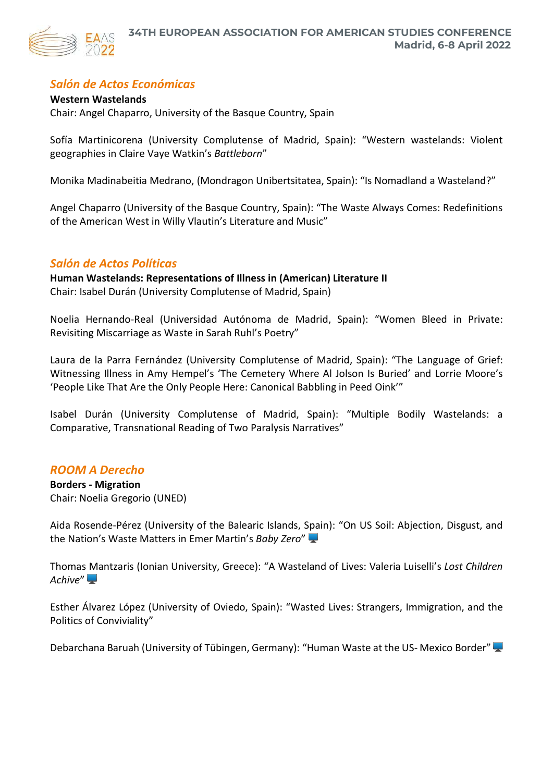

# *Salón de Actos Económicas*

# **Western Wastelands**

Chair: Angel Chaparro, University of the Basque Country, Spain

Sofía Martinicorena (University Complutense of Madrid, Spain): "Western wastelands: Violent geographies in Claire Vaye Watkin's *Battleborn*"

Monika Madinabeitia Medrano, (Mondragon Unibertsitatea, Spain): "Is Nomadland a Wasteland?"

Angel Chaparro (University of the Basque Country, Spain): "The Waste Always Comes: Redefinitions of the American West in Willy Vlautin's Literature and Music"

# *Salón de Actos Políticas*

**Human Wastelands: Representations of Illness in (American) Literature II** Chair: Isabel Durán (University Complutense of Madrid, Spain)

Noelia Hernando-Real (Universidad Autónoma de Madrid, Spain): "Women Bleed in Private: Revisiting Miscarriage as Waste in Sarah Ruhl's Poetry"

Laura de la Parra Fernández (University Complutense of Madrid, Spain): "The Language of Grief: Witnessing Illness in Amy Hempel's 'The Cemetery Where Al Jolson Is Buried' and Lorrie Moore's 'People Like That Are the Only People Here: Canonical Babbling in Peed Oink'"

Isabel Durán (University Complutense of Madrid, Spain): "Multiple Bodily Wastelands: a Comparative, Transnational Reading of Two Paralysis Narratives"

# *ROOM A Derecho*

**Borders - Migration** Chair: Noelia Gregorio (UNED)

Aida Rosende-Pérez (University of the Balearic Islands, Spain): "On US Soil: Abjection, Disgust, and the Nation's Waste Matters in Emer Martin's *Baby Zero*"

Thomas Mantzaris (Ionian University, Greece): "A Wasteland of Lives: Valeria Luiselli's *Lost Children Achive*"

Esther Álvarez López (University of Oviedo, Spain): "Wasted Lives: Strangers, Immigration, and the Politics of Conviviality"

Debarchana Baruah (University of Tübingen, Germany): "Human Waste at the US- Mexico Border"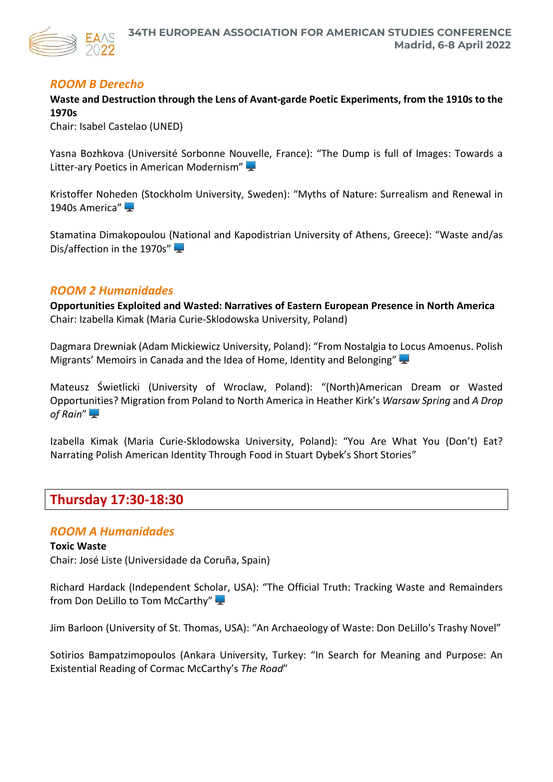

# *ROOM B Derecho*

**Waste and Destruction through the Lens of Avant-garde Poetic Experiments, from the 1910s to the 1970s**

Chair: Isabel Castelao (UNED)

Yasna Bozhkova (Université Sorbonne Nouvelle, France): "The Dump is full of Images: Towards a Litter-ary Poetics in American Modernism"

Kristoffer Noheden (Stockholm University, Sweden): "Myths of Nature: Surrealism and Renewal in 1940s America"

Stamatina Dimakopoulou (National and Kapodistrian University of Athens, Greece): "Waste and/as Dis/affection in the 1970s"

# *ROOM 2 Humanidades*

**Opportunities Exploited and Wasted: Narratives of Eastern European Presence in North America** Chair: Izabella Kimak (Maria Curie-Sklodowska University, Poland)

Dagmara Drewniak (Adam Mickiewicz University, Poland): "From Nostalgia to Locus Amoenus. Polish Migrants' Memoirs in Canada and the Idea of Home, Identity and Belonging"

Mateusz Świetlicki (University of Wroclaw, Poland): "(North)American Dream or Wasted Opportunities? Migration from Poland to North America in Heather Kirk's *Warsaw Spring* and *A Drop of Rain*"

Izabella Kimak (Maria Curie-Sklodowska University, Poland): "You Are What You (Don't) Eat? Narrating Polish American Identity Through Food in Stuart Dybek's Short Stories"

# **Thursday 17:30-18:30**

# *ROOM A Humanidades*

**Toxic Waste** Chair: José Liste (Universidade da Coruña, Spain)

Richard Hardack (Independent Scholar, USA): "The Official Truth: Tracking Waste and Remainders from Don DeLillo to Tom McCarthy"

Jim Barloon (University of St. Thomas, USA): "An Archaeology of Waste: Don DeLillo's Trashy Novel"

Sotirios Bampatzimopoulos (Ankara University, Turkey: "In Search for Meaning and Purpose: An Existential Reading of Cormac McCarthy's *The Road*"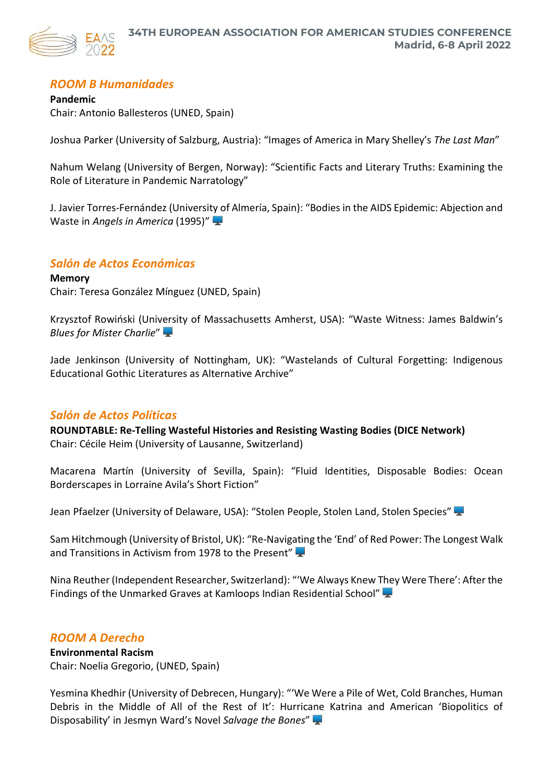

# *ROOM B Humanidades*

**Pandemic** Chair: Antonio Ballesteros (UNED, Spain)

Joshua Parker (University of Salzburg, Austria): "Images of America in Mary Shelley's *The Last Man*"

Nahum Welang (University of Bergen, Norway): "Scientific Facts and Literary Truths: Examining the Role of Literature in Pandemic Narratology"

J. Javier Torres-Fernández (University of Almería, Spain): "Bodies in the AIDS Epidemic: Abjection and Waste in *Angels in America* (1995)"

# *Salón de Actos Económicas*

**Memory** Chair: Teresa González Mínguez (UNED, Spain)

Krzysztof Rowiński (University of Massachusetts Amherst, USA): "Waste Witness: James Baldwin's *Blues for Mister Charlie*"

Jade Jenkinson (University of Nottingham, UK): "Wastelands of Cultural Forgetting: Indigenous Educational Gothic Literatures as Alternative Archive"

# *Salón de Actos Políticas*

**ROUNDTABLE: Re-Telling Wasteful Histories and Resisting Wasting Bodies (DICE Network)** Chair: Cécile Heim (University of Lausanne, Switzerland)

Macarena Martín (University of Sevilla, Spain): "Fluid Identities, Disposable Bodies: Ocean Borderscapes in Lorraine Avila's Short Fiction"

Jean Pfaelzer (University of Delaware, USA): "Stolen People, Stolen Land, Stolen Species"

Sam Hitchmough (University of Bristol, UK): "Re-Navigating the 'End' of Red Power: The Longest Walk and Transitions in Activism from 1978 to the Present"

Nina Reuther (Independent Researcher, Switzerland): "'We Always Knew They Were There': After the Findings of the Unmarked Graves at Kamloops Indian Residential School"

# *ROOM A Derecho*

# **Environmental Racism**

Chair: Noelia Gregorio, (UNED, Spain)

Yesmina Khedhir (University of Debrecen, Hungary): "'We Were a Pile of Wet, Cold Branches, Human Debris in the Middle of All of the Rest of It': Hurricane Katrina and American 'Biopolitics of Disposability' in Jesmyn Ward's Novel *Salvage the Bones*"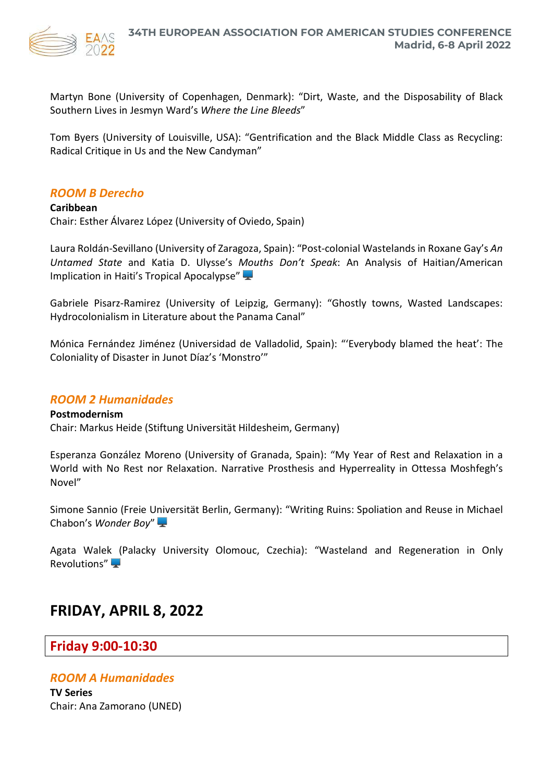

Martyn Bone (University of Copenhagen, Denmark): "Dirt, Waste, and the Disposability of Black Southern Lives in Jesmyn Ward's *Where the Line Bleeds*"

Tom Byers (University of Louisville, USA): "Gentrification and the Black Middle Class as Recycling: Radical Critique in Us and the New Candyman"

# *ROOM B Derecho*

**Caribbean** Chair: Esther Álvarez López (University of Oviedo, Spain)

Laura Roldán-Sevillano (University of Zaragoza, Spain): "Post-colonial Wastelands in Roxane Gay's *An Untamed State* and Katia D. Ulysse's *Mouths Don't Speak*: An Analysis of Haitian/American Implication in Haiti's Tropical Apocalypse"

Gabriele Pisarz-Ramirez (University of Leipzig, Germany): "Ghostly towns, Wasted Landscapes: Hydrocolonialism in Literature about the Panama Canal"

Mónica Fernández Jiménez (Universidad de Valladolid, Spain): "'Everybody blamed the heat': The Coloniality of Disaster in Junot Díaz's 'Monstro'"

# *ROOM 2 Humanidades*

**Postmodernism** Chair: Markus Heide (Stiftung Universität Hildesheim, Germany)

Esperanza González Moreno (University of Granada, Spain): "My Year of Rest and Relaxation in a World with No Rest nor Relaxation. Narrative Prosthesis and Hyperreality in Ottessa Moshfegh's Novel"

Simone Sannio (Freie Universität Berlin, Germany): "Writing Ruins: Spoliation and Reuse in Michael Chabon's *Wonder Boy*"

Agata Walek (Palacky University Olomouc, Czechia): "Wasteland and Regeneration in Only Revolutions"

# **FRIDAY, APRIL 8, 2022**

# **Friday 9:00-10:30**

# *ROOM A Humanidades*

**TV Series** Chair: Ana Zamorano (UNED)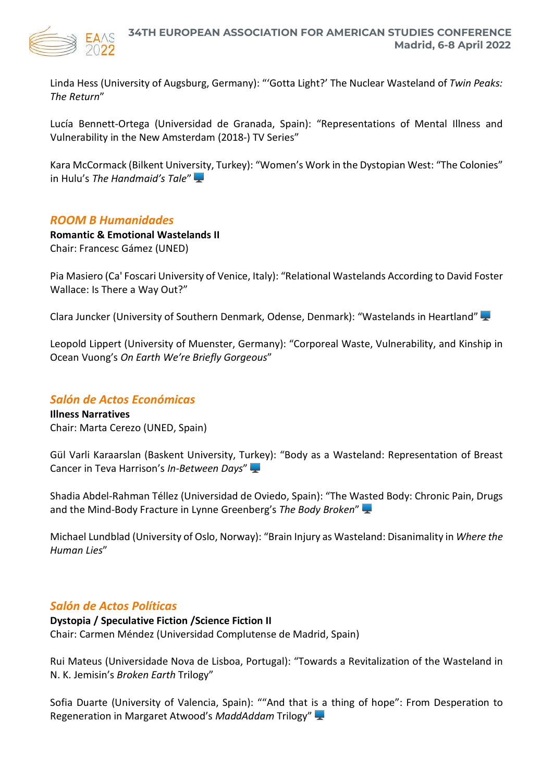

Linda Hess (University of Augsburg, Germany): "'Gotta Light?' The Nuclear Wasteland of *Twin Peaks: The Return*"

Lucía Bennett-Ortega (Universidad de Granada, Spain): "Representations of Mental Illness and Vulnerability in the New Amsterdam (2018-) TV Series"

Kara McCormack (Bilkent University, Turkey): "Women's Work in the Dystopian West: "The Colonies" in Hulu's *The Handmaid's Tale*"

# *ROOM B Humanidades*

**Romantic & Emotional Wastelands II** Chair: Francesc Gámez (UNED)

Pia Masiero (Ca' Foscari University of Venice, Italy): "Relational Wastelands According to David Foster Wallace: Is There a Way Out?"

Clara Juncker (University of Southern Denmark, Odense, Denmark): "Wastelands in Heartland"

Leopold Lippert (University of Muenster, Germany): "Corporeal Waste, Vulnerability, and Kinship in Ocean Vuong's *On Earth We're Briefly Gorgeous*"

# *Salón de Actos Económicas*

**Illness Narratives** Chair: Marta Cerezo (UNED, Spain)

Gül Varli Karaarslan (Baskent University, Turkey): "Body as a Wasteland: Representation of Breast Cancer in Teva Harrison's *In-Between Days*"

Shadia Abdel-Rahman Téllez (Universidad de Oviedo, Spain): "The Wasted Body: Chronic Pain, Drugs and the Mind-Body Fracture in Lynne Greenberg's *The Body Broken*"

Michael Lundblad (University of Oslo, Norway): "Brain Injury as Wasteland: Disanimality in *Where the Human Lies*"

# *Salón de Actos Políticas*

**Dystopia / Speculative Fiction /Science Fiction II**

Chair: Carmen Méndez (Universidad Complutense de Madrid, Spain)

Rui Mateus (Universidade Nova de Lisboa, Portugal): "Towards a Revitalization of the Wasteland in N. K. Jemisin's *Broken Earth* Trilogy"

Sofia Duarte (University of Valencia, Spain): ""And that is a thing of hope": From Desperation to Regeneration in Margaret Atwood's *MaddAddam* Trilogy"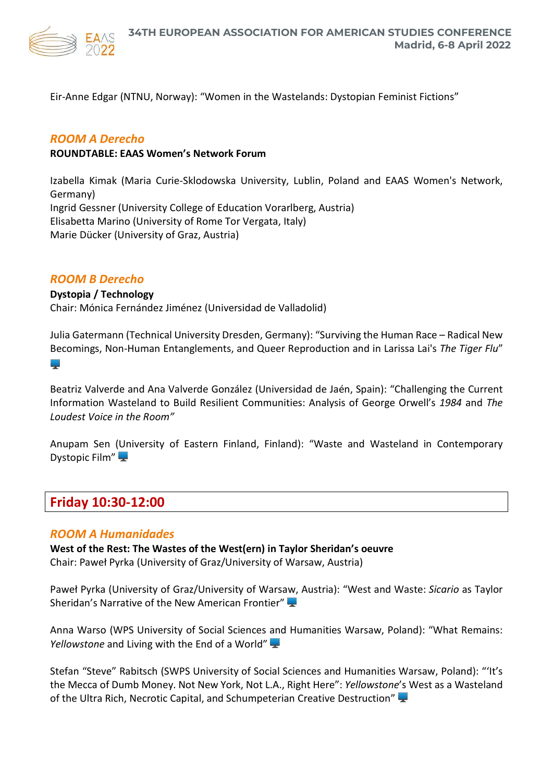

Eir-Anne Edgar (NTNU, Norway): "Women in the Wastelands: Dystopian Feminist Fictions"

# *ROOM A Derecho*

#### **ROUNDTABLE: EAAS Women's Network Forum**

Izabella Kimak (Maria Curie-Sklodowska University, Lublin, Poland and EAAS Women's Network, Germany) Ingrid Gessner (University College of Education Vorarlberg, Austria) Elisabetta Marino (University of Rome Tor Vergata, Italy) Marie Dücker (University of Graz, Austria)

# *ROOM B Derecho*

#### **Dystopia / Technology**

Chair: Mónica Fernández Jiménez (Universidad de Valladolid)

Julia Gatermann (Technical University Dresden, Germany): "Surviving the Human Race – Radical New Becomings, Non-Human Entanglements, and Queer Reproduction and in Larissa Lai's *The Tiger Flu*"

الميتا

Beatriz Valverde and Ana Valverde González (Universidad de Jaén, Spain): "Challenging the Current Information Wasteland to Build Resilient Communities: Analysis of George Orwell's *1984* and *The Loudest Voice in the Room"*

Anupam Sen (University of Eastern Finland, Finland): "Waste and Wasteland in Contemporary Dystopic Film"

# **Friday 10:30-12:00**

# *ROOM A Humanidades*

**West of the Rest: The Wastes of the West(ern) in Taylor Sheridan's oeuvre** Chair: Paweł Pyrka (University of Graz/University of Warsaw, Austria)

Paweł Pyrka (University of Graz/University of Warsaw, Austria): "West and Waste: *Sicario* as Taylor Sheridan's Narrative of the New American Frontier"

Anna Warso (WPS University of Social Sciences and Humanities Warsaw, Poland): "What Remains: *Yellowstone* and Living with the End of a World"

Stefan "Steve" Rabitsch (SWPS University of Social Sciences and Humanities Warsaw, Poland): "'It's the Mecca of Dumb Money. Not New York, Not L.A., Right Here": *Yellowstone*'s West as a Wasteland of the Ultra Rich, Necrotic Capital, and Schumpeterian Creative Destruction"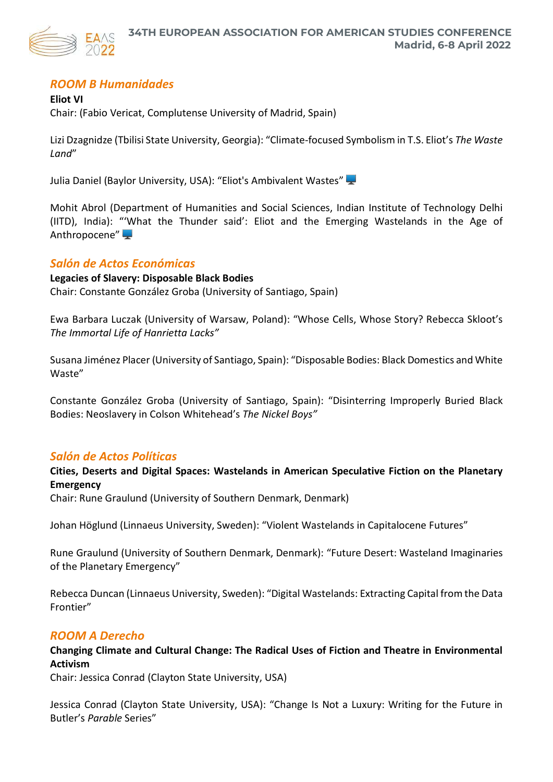

# *ROOM B Humanidades*

**Eliot VI** Chair: (Fabio Vericat, Complutense University of Madrid, Spain)

Lizi Dzagnidze (Tbilisi State University, Georgia): "Climate-focused Symbolism in T.S. Eliot's *The Waste Land*"

Julia Daniel (Baylor University, USA): "Eliot's Ambivalent Wastes"

Mohit Abrol (Department of Humanities and Social Sciences, Indian Institute of Technology Delhi (IITD), India): "'What the Thunder said': Eliot and the Emerging Wastelands in the Age of Anthropocene"

# *Salón de Actos Económicas*

**Legacies of Slavery: Disposable Black Bodies** Chair: Constante González Groba (University of Santiago, Spain)

Ewa Barbara Luczak (University of Warsaw, Poland): "Whose Cells, Whose Story? Rebecca Skloot's *The Immortal Life of Hanrietta Lacks"*

Susana Jiménez Placer (University of Santiago, Spain): "Disposable Bodies: Black Domestics and White Waste"

Constante González Groba (University of Santiago, Spain): "Disinterring Improperly Buried Black Bodies: Neoslavery in Colson Whitehead's *The Nickel Boys"*

# *Salón de Actos Políticas*

**Cities, Deserts and Digital Spaces: Wastelands in American Speculative Fiction on the Planetary Emergency**

Chair: Rune Graulund (University of Southern Denmark, Denmark)

Johan Höglund (Linnaeus University, Sweden): "Violent Wastelands in Capitalocene Futures"

Rune Graulund (University of Southern Denmark, Denmark): "Future Desert: Wasteland Imaginaries of the Planetary Emergency"

Rebecca Duncan (Linnaeus University, Sweden): "Digital Wastelands: Extracting Capital from the Data Frontier"

# *ROOM A Derecho*

# **Changing Climate and Cultural Change: The Radical Uses of Fiction and Theatre in Environmental Activism**

Chair: Jessica Conrad (Clayton State University, USA)

Jessica Conrad (Clayton State University, USA): "Change Is Not a Luxury: Writing for the Future in Butler's *Parable* Series"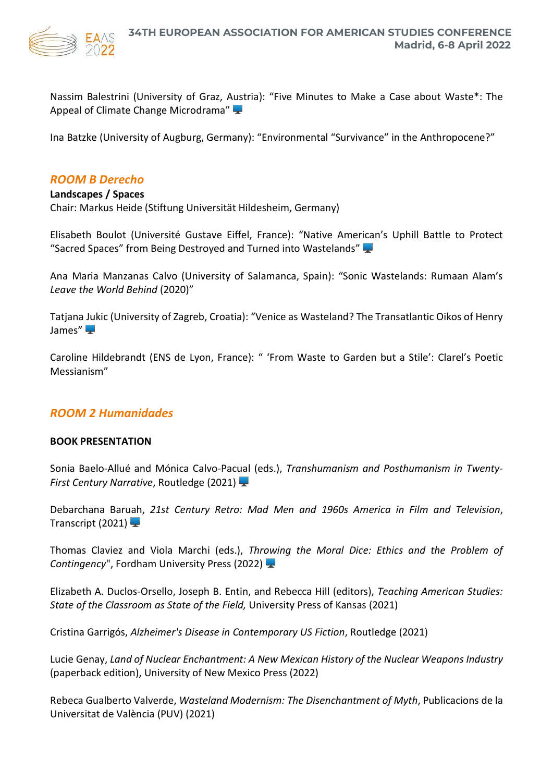

Nassim Balestrini (University of Graz, Austria): "Five Minutes to Make a Case about Waste\*: The Appeal of Climate Change Microdrama"

Ina Batzke (University of Augburg, Germany): "Environmental "Survivance" in the Anthropocene?"

# *ROOM B Derecho*

# **Landscapes / Spaces** Chair: Markus Heide (Stiftung Universität Hildesheim, Germany)

Elisabeth Boulot (Université Gustave Eiffel, France): "Native American's Uphill Battle to Protect "Sacred Spaces" from Being Destroyed and Turned into Wastelands"

Ana Maria Manzanas Calvo (University of Salamanca, Spain): "Sonic Wastelands: Rumaan Alam's *Leave the World Behind* (2020)"

Tatjana Jukic (University of Zagreb, Croatia): "Venice as Wasteland? The Transatlantic Oikos of Henry James" $\Box$ 

Caroline Hildebrandt (ENS de Lyon, France): " 'From Waste to Garden but a Stile': Clarel's Poetic Messianism"

# *ROOM 2 Humanidades*

# **BOOK PRESENTATION**

Sonia Baelo-Allué and Mónica Calvo-Pacual (eds.), *Transhumanism and Posthumanism in Twenty-First Century Narrative*, Routledge (2021)

Debarchana Baruah, *21st Century Retro: Mad Men and 1960s America in Film and Television*, Transcript (2021)  $\Box$ 

Thomas Claviez and Viola Marchi (eds.), *Throwing the Moral Dice: Ethics and the Problem of Contingency*", Fordham University Press (2022)

Elizabeth A. Duclos-Orsello, Joseph B. Entin, and Rebecca Hill (editors), *Teaching American Studies: State of the Classroom as State of the Field,* University Press of Kansas (2021)

Cristina Garrigós, *Alzheimer's Disease in Contemporary US Fiction*, Routledge (2021)

Lucie Genay, *Land of Nuclear Enchantment: A New Mexican History of the Nuclear Weapons Industry* (paperback edition), University of New Mexico Press (2022)

Rebeca Gualberto Valverde, *Wasteland Modernism: The Disenchantment of Myth*, Publicacions de la Universitat de València (PUV) (2021)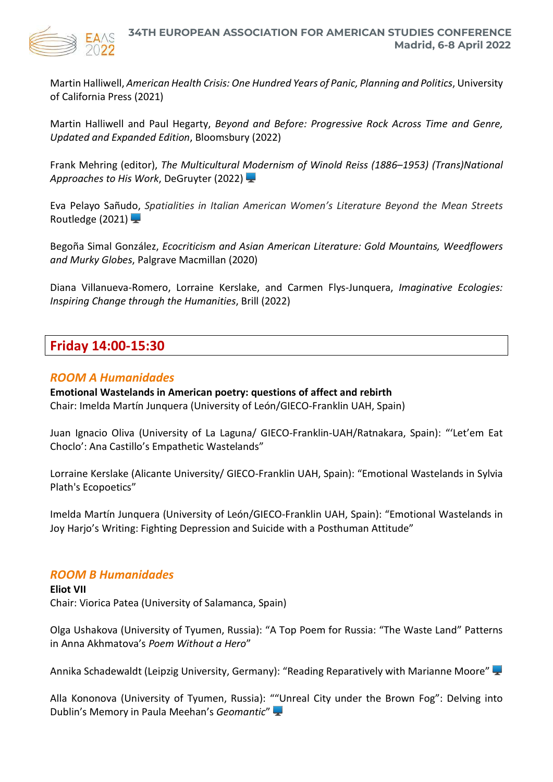

Martin Halliwell, *American Health Crisis: One Hundred Years of Panic, Planning and Politics*, University of California Press (2021)

Martin Halliwell and Paul Hegarty, *Beyond and Before: Progressive Rock Across Time and Genre, Updated and Expanded Edition*, Bloomsbury (2022)

Frank Mehring (editor), *The Multicultural Modernism of Winold Reiss (1886–1953) (Trans)National Approaches to His Work*, DeGruyter (2022)

Eva Pelayo Sañudo, *Spatialities in Italian American Women's Literature Beyond the Mean Streets* Routledge (2021)  $\blacktriangleright$ 

Begoña Simal González, *Ecocriticism and Asian American Literature: Gold Mountains, Weedflowers and Murky Globes*, Palgrave Macmillan (2020)

Diana Villanueva-Romero, Lorraine Kerslake, and Carmen Flys-Junquera, *Imaginative Ecologies: Inspiring Change through the Humanities*, Brill (2022)

# **Friday 14:00-15:30**

# *ROOM A Humanidades*

**Emotional Wastelands in American poetry: questions of affect and rebirth** Chair: Imelda Martín Junquera (University of León/GIECO-Franklin UAH, Spain)

Juan Ignacio Oliva (University of La Laguna/ GIECO-Franklin-UAH/Ratnakara, Spain): "'Let'em Eat Choclo': Ana Castillo's Empathetic Wastelands"

Lorraine Kerslake (Alicante University/ GIECO-Franklin UAH, Spain): "Emotional Wastelands in Sylvia Plath's Ecopoetics"

Imelda Martín Junquera (University of León/GIECO-Franklin UAH, Spain): "Emotional Wastelands in Joy Harjo's Writing: Fighting Depression and Suicide with a Posthuman Attitude"

# *ROOM B Humanidades*

**Eliot VII** Chair: Viorica Patea (University of Salamanca, Spain)

Olga Ushakova (University of Tyumen, Russia): "A Top Poem for Russia: "The Waste Land" Patterns in Anna Akhmatova's *Poem Without a Hero*"

Annika Schadewaldt (Leipzig University, Germany): "Reading Reparatively with Marianne Moore"

Alla Kononova (University of Tyumen, Russia): ""Unreal City under the Brown Fog": Delving into Dublin's Memory in Paula Meehan's *Geomantic*"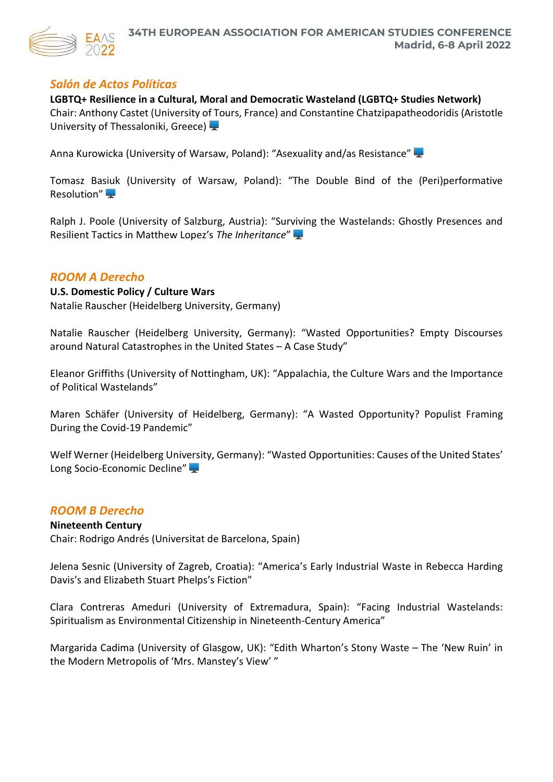

# *Salón de Actos Políticas*

**LGBTQ+ Resilience in a Cultural, Moral and Democratic Wasteland (LGBTQ+ Studies Network)** Chair: Anthony Castet (University of Tours, France) and Constantine Chatzipapatheodoridis (Aristotle University of Thessaloniki, Greece)

Anna Kurowicka (University of Warsaw, Poland): "Asexuality and/as Resistance"

Tomasz Basiuk (University of Warsaw, Poland): "The Double Bind of the (Peri)performative Resolution"

Ralph J. Poole (University of Salzburg, Austria): "Surviving the Wastelands: Ghostly Presences and Resilient Tactics in Matthew Lopez's *The Inheritance*"

# *ROOM A Derecho*

**U.S. Domestic Policy / Culture Wars**  Natalie Rauscher (Heidelberg University, Germany)

Natalie Rauscher (Heidelberg University, Germany): "Wasted Opportunities? Empty Discourses around Natural Catastrophes in the United States – A Case Study"

Eleanor Griffiths (University of Nottingham, UK): "Appalachia, the Culture Wars and the Importance of Political Wastelands"

Maren Schäfer (University of Heidelberg, Germany): "A Wasted Opportunity? Populist Framing During the Covid-19 Pandemic"

Welf Werner (Heidelberg University, Germany): "Wasted Opportunities: Causes of the United States' Long Socio-Economic Decline"

# *ROOM B Derecho*

# **Nineteenth Century**

Chair: Rodrigo Andrés (Universitat de Barcelona, Spain)

Jelena Sesnic (University of Zagreb, Croatia): "America's Early Industrial Waste in Rebecca Harding Davis's and Elizabeth Stuart Phelps's Fiction"

Clara Contreras Ameduri (University of Extremadura, Spain): "Facing Industrial Wastelands: Spiritualism as Environmental Citizenship in Nineteenth-Century America"

Margarida Cadima (University of Glasgow, UK): "Edith Wharton's Stony Waste – The 'New Ruin' in the Modern Metropolis of 'Mrs. Manstey's View' "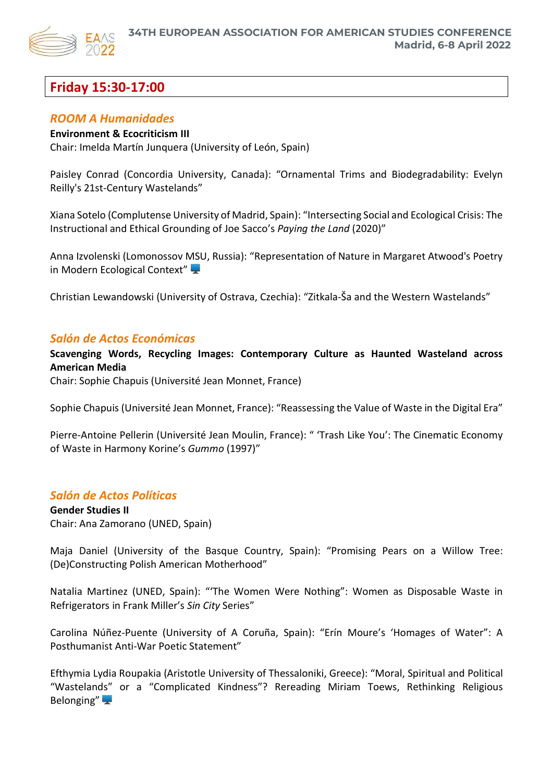

# **Friday 15:30-17:00**

# *ROOM A Humanidades*

# **Environment & Ecocriticism III**

Chair: Imelda Martín Junquera (University of León, Spain)

Paisley Conrad (Concordia University, Canada): "Ornamental Trims and Biodegradability: Evelyn Reilly's 21st-Century Wastelands"

Xiana Sotelo (Complutense University of Madrid, Spain): "Intersecting Social and Ecological Crisis: The Instructional and Ethical Grounding of Joe Sacco's *Paying the Land* (2020)"

Anna Izvolenski (Lomonossov MSU, Russia): "Representation of Nature in Margaret Atwood's Poetry in Modern Ecological Context"

Christian Lewandowski (University of Ostrava, Czechia): "Zitkala-Ša and the Western Wastelands"

# *Salón de Actos Económicas*

**Scavenging Words, Recycling Images: Contemporary Culture as Haunted Wasteland across American Media**

Chair: Sophie Chapuis (Université Jean Monnet, France)

Sophie Chapuis (Université Jean Monnet, France): "Reassessing the Value of Waste in the Digital Era"

Pierre-Antoine Pellerin (Université Jean Moulin, France): " 'Trash Like You': The Cinematic Economy of Waste in Harmony Korine's *Gummo* (1997)"

# *Salón de Actos Políticas*

**Gender Studies II** Chair: Ana Zamorano (UNED, Spain)

Maja Daniel (University of the Basque Country, Spain): "Promising Pears on a Willow Tree: (De)Constructing Polish American Motherhood"

Natalia Martinez (UNED, Spain): "'The Women Were Nothing": Women as Disposable Waste in Refrigerators in Frank Miller's *Sin City* Series"

Carolina Núñez-Puente (University of A Coruña, Spain): "Erín Moure's 'Homages of Water": A Posthumanist Anti-War Poetic Statement"

Efthymia Lydia Roupakia (Aristotle University of Thessaloniki, Greece): "Moral, Spiritual and Political "Wastelands" or a "Complicated Kindness"? Rereading Miriam Toews, Rethinking Religious Belonging" $\overline{\phantom{a}}$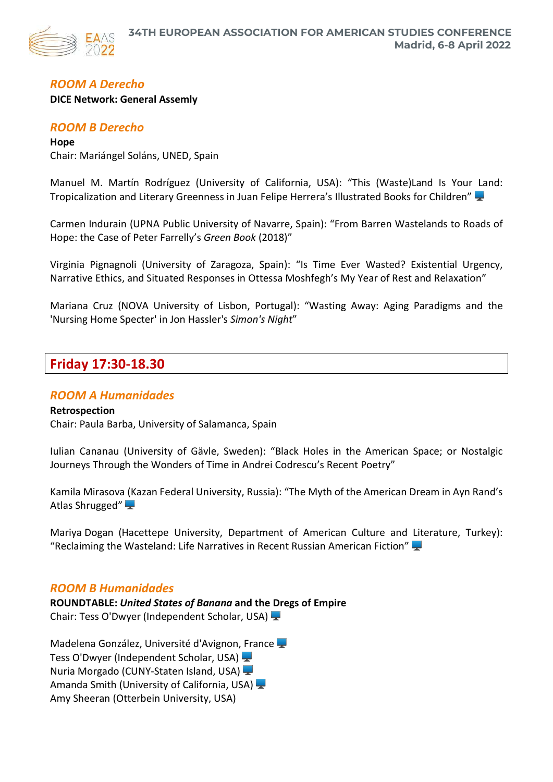

# *ROOM A Derecho*

#### **DICE Network: General Assemly**

# *ROOM B Derecho*

**Hope** Chair: Mariángel Soláns, UNED, Spain

Manuel M. Martín Rodríguez (University of California, USA): "This (Waste)Land Is Your Land: Tropicalization and Literary Greenness in Juan Felipe Herrera's Illustrated Books for Children"

Carmen Indurain (UPNA Public University of Navarre, Spain): "From Barren Wastelands to Roads of Hope: the Case of Peter Farrelly's *Green Book* (2018)"

Virginia Pignagnoli (University of Zaragoza, Spain): "Is Time Ever Wasted? Existential Urgency, Narrative Ethics, and Situated Responses in Ottessa Moshfegh's My Year of Rest and Relaxation"

Mariana Cruz (NOVA University of Lisbon, Portugal): "Wasting Away: Aging Paradigms and the 'Nursing Home Specter' in Jon Hassler's *Simon's Night*"

# **Friday 17:30-18.30**

# *ROOM A Humanidades*

# **Retrospection** Chair: Paula Barba, University of Salamanca, Spain

Iulian Cananau (University of Gävle, Sweden): "Black Holes in the American Space; or Nostalgic Journeys Through the Wonders of Time in Andrei Codrescu's Recent Poetry"

Kamila Mirasova (Kazan Federal University, Russia): "The Myth of the American Dream in Ayn Rand's Atlas Shrugged"

Mariya Dogan (Hacettepe University, Department of American Culture and Literature, Turkey): "Reclaiming the Wasteland: Life Narratives in Recent Russian American Fiction"

# *ROOM B Humanidades*

**ROUNDTABLE:** *United States of Banana* **and the Dregs of Empire** Chair: Tess O'Dwyer (Independent Scholar, USA)

Madelena González, Université d'Avignon, France Tess O'Dwyer (Independent Scholar, USA) Nuria Morgado (CUNY-Staten Island, USA) Amanda Smith (University of California, USA) Amy Sheeran (Otterbein University, USA)